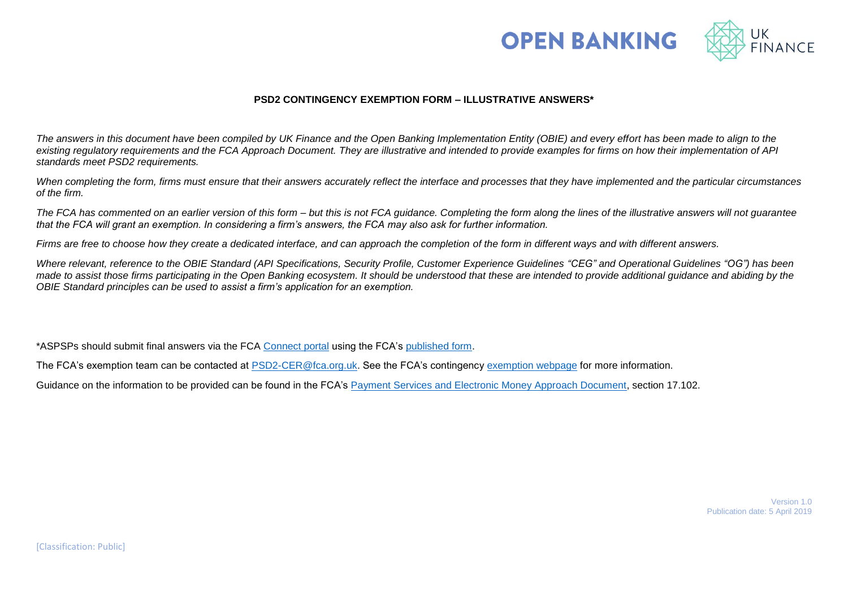



## **PSD2 CONTINGENCY EXEMPTION FORM – ILLUSTRATIVE ANSWERS\***

*The answers in this document have been compiled by UK Finance and the Open Banking Implementation Entity (OBIE) and every effort has been made to align to the existing regulatory requirements and the FCA Approach Document. They are illustrative and intended to provide examples for firms on how their implementation of API standards meet PSD2 requirements.* 

*When completing the form, firms must ensure that their answers accurately reflect the interface and processes that they have implemented and the particular circumstances of the firm.* 

*The FCA has commented on an earlier version of this form – but this is not FCA guidance. Completing the form along the lines of the illustrative answers will not guarantee that the FCA will grant an exemption. In considering a firm's answers, the FCA may also ask for further information.* 

*Firms are free to choose how they create a dedicated interface, and can approach the completion of the form in different ways and with different answers.* 

*Where relevant, reference to the OBIE Standard (API Specifications, Security Profile, Customer Experience Guidelines "CEG" and Operational Guidelines "OG") has been made to assist those firms participating in the Open Banking ecosystem. It should be understood that these are intended to provide additional guidance and abiding by the OBIE Standard principles can be used to assist a firm's application for an exemption.* 

\*ASPSPs should submit final answers via the FCA [Connect portal](https://www.fca.org.uk/firms/connect) using the FCA's [published form.](https://www.fca.org.uk/publication/forms/contingency-exemption-request-form-2018.pdf)

The FCA's exemption team can be contacted at [PSD2-CER@fca.org.uk.](mailto:PSD2-CER@fca.org.uk) See the FCA's contingency [exemption](https://www.fca.org.uk/firms/exemption-psd2-contingency-mechanism) webpage for more information.

Guidance on the information to be provided can be found in the FCA's [Payment Services and Electronic Money Approach Document,](https://www.fca.org.uk/publication/finalised-guidance/fca-approach-payment-services-electronic-money-2017.pdf) section 17.102.

Version 1.0 Publication date: 5 April 2019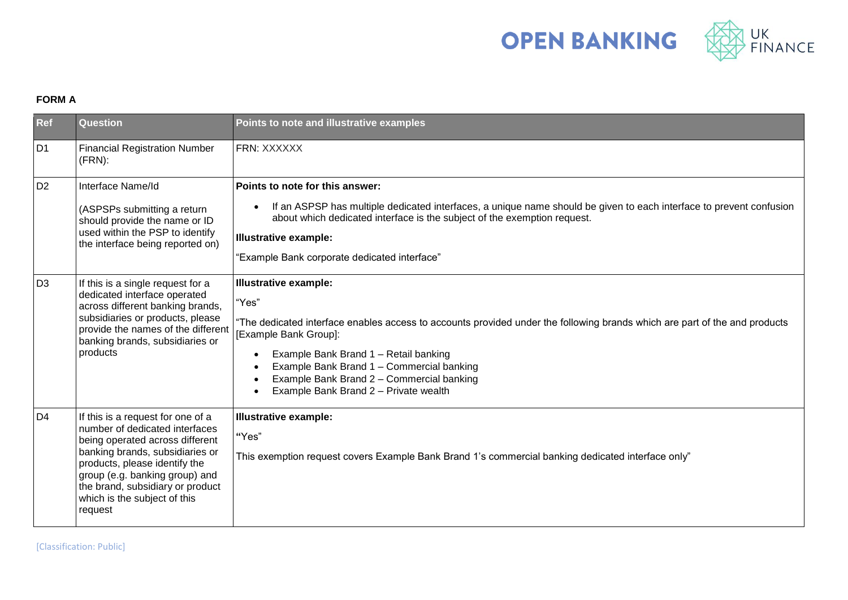

## **FORM A**

| Ref            | <b>Question</b>                                                                                                                                                                                                                                                                             | Points to note and illustrative examples                                                                                                                                                                                                                                                                                                                                                           |
|----------------|---------------------------------------------------------------------------------------------------------------------------------------------------------------------------------------------------------------------------------------------------------------------------------------------|----------------------------------------------------------------------------------------------------------------------------------------------------------------------------------------------------------------------------------------------------------------------------------------------------------------------------------------------------------------------------------------------------|
| D <sub>1</sub> | <b>Financial Registration Number</b><br>$(FRN)$ :                                                                                                                                                                                                                                           | FRN: XXXXXX                                                                                                                                                                                                                                                                                                                                                                                        |
| D <sub>2</sub> | Interface Name/Id<br>(ASPSPs submitting a return<br>should provide the name or ID<br>used within the PSP to identify<br>the interface being reported on)                                                                                                                                    | Points to note for this answer:<br>If an ASPSP has multiple dedicated interfaces, a unique name should be given to each interface to prevent confusion<br>$\bullet$<br>about which dedicated interface is the subject of the exemption request.<br><b>Illustrative example:</b><br>"Example Bank corporate dedicated interface"                                                                    |
| D <sub>3</sub> | If this is a single request for a<br>dedicated interface operated<br>across different banking brands,<br>subsidiaries or products, please<br>provide the names of the different<br>banking brands, subsidiaries or<br>products                                                              | <b>Illustrative example:</b><br>"Yes"<br>"The dedicated interface enables access to accounts provided under the following brands which are part of the and products<br>[Example Bank Group]:<br>Example Bank Brand 1 - Retail banking<br>$\bullet$<br>Example Bank Brand 1 - Commercial banking<br>Example Bank Brand 2 - Commercial banking<br>Example Bank Brand 2 - Private wealth<br>$\bullet$ |
| D4             | If this is a request for one of a<br>number of dedicated interfaces<br>being operated across different<br>banking brands, subsidiaries or<br>products, please identify the<br>group (e.g. banking group) and<br>the brand, subsidiary or product<br>which is the subject of this<br>request | <b>Illustrative example:</b><br>"Yes"<br>This exemption request covers Example Bank Brand 1's commercial banking dedicated interface only"                                                                                                                                                                                                                                                         |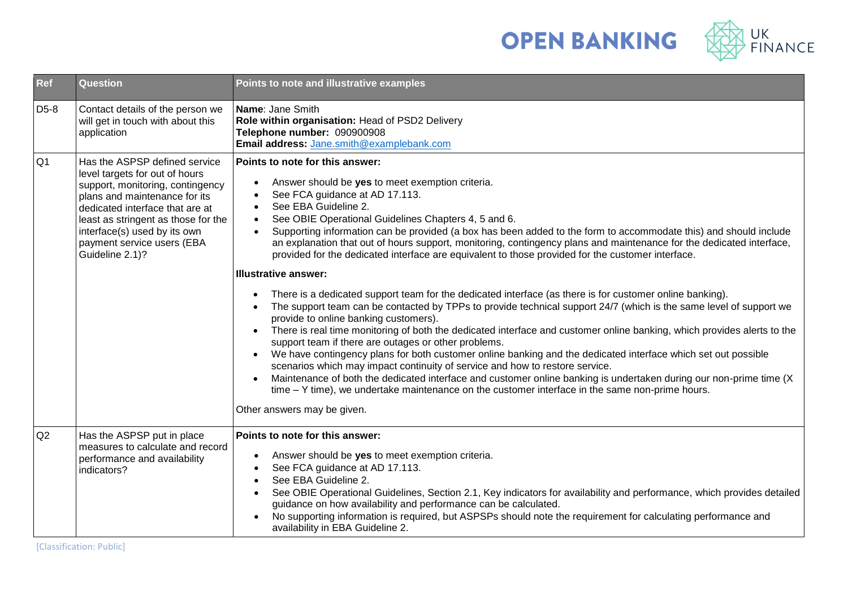



| Ref               | <b>Question</b>                                                                                                                                                                                                                                                                                 | Points to note and illustrative examples                                                                                                                                                                                                                                                                                                                                                                                                                                                                                                                                                                                                                                                                                                                                                                                                                                                                                                                                                                                                                                                                                                                                                                                                                                                                                                                                                                                                                                                                                                                                                                               |
|-------------------|-------------------------------------------------------------------------------------------------------------------------------------------------------------------------------------------------------------------------------------------------------------------------------------------------|------------------------------------------------------------------------------------------------------------------------------------------------------------------------------------------------------------------------------------------------------------------------------------------------------------------------------------------------------------------------------------------------------------------------------------------------------------------------------------------------------------------------------------------------------------------------------------------------------------------------------------------------------------------------------------------------------------------------------------------------------------------------------------------------------------------------------------------------------------------------------------------------------------------------------------------------------------------------------------------------------------------------------------------------------------------------------------------------------------------------------------------------------------------------------------------------------------------------------------------------------------------------------------------------------------------------------------------------------------------------------------------------------------------------------------------------------------------------------------------------------------------------------------------------------------------------------------------------------------------------|
| D <sub>5</sub> -8 | Contact details of the person we<br>will get in touch with about this<br>application                                                                                                                                                                                                            | Name: Jane Smith<br>Role within organisation: Head of PSD2 Delivery<br>Telephone number: 090900908<br>Email address: Jane.smith@examplebank.com                                                                                                                                                                                                                                                                                                                                                                                                                                                                                                                                                                                                                                                                                                                                                                                                                                                                                                                                                                                                                                                                                                                                                                                                                                                                                                                                                                                                                                                                        |
| Q <sub>1</sub>    | Has the ASPSP defined service<br>level targets for out of hours<br>support, monitoring, contingency<br>plans and maintenance for its<br>dedicated interface that are at<br>least as stringent as those for the<br>interface(s) used by its own<br>payment service users (EBA<br>Guideline 2.1)? | Points to note for this answer:<br>Answer should be yes to meet exemption criteria.<br>$\bullet$<br>See FCA guidance at AD 17.113.<br>$\bullet$<br>See EBA Guideline 2.<br>$\bullet$<br>See OBIE Operational Guidelines Chapters 4, 5 and 6.<br>$\bullet$<br>Supporting information can be provided (a box has been added to the form to accommodate this) and should include<br>$\bullet$<br>an explanation that out of hours support, monitoring, contingency plans and maintenance for the dedicated interface,<br>provided for the dedicated interface are equivalent to those provided for the customer interface.<br><b>Illustrative answer:</b><br>There is a dedicated support team for the dedicated interface (as there is for customer online banking).<br>$\bullet$<br>The support team can be contacted by TPPs to provide technical support 24/7 (which is the same level of support we<br>$\bullet$<br>provide to online banking customers).<br>There is real time monitoring of both the dedicated interface and customer online banking, which provides alerts to the<br>$\bullet$<br>support team if there are outages or other problems.<br>We have contingency plans for both customer online banking and the dedicated interface which set out possible<br>scenarios which may impact continuity of service and how to restore service.<br>Maintenance of both the dedicated interface and customer online banking is undertaken during our non-prime time (X<br>$time - Y$ time), we undertake maintenance on the customer interface in the same non-prime hours.<br>Other answers may be given. |
| Q2                | Has the ASPSP put in place<br>measures to calculate and record<br>performance and availability<br>indicators?                                                                                                                                                                                   | Points to note for this answer:<br>Answer should be yes to meet exemption criteria.<br>$\bullet$<br>See FCA guidance at AD 17.113.<br>$\bullet$<br>See EBA Guideline 2.<br>$\bullet$<br>See OBIE Operational Guidelines, Section 2.1, Key indicators for availability and performance, which provides detailed<br>$\bullet$<br>guidance on how availability and performance can be calculated.<br>No supporting information is required, but ASPSPs should note the requirement for calculating performance and<br>availability in EBA Guideline 2.                                                                                                                                                                                                                                                                                                                                                                                                                                                                                                                                                                                                                                                                                                                                                                                                                                                                                                                                                                                                                                                                    |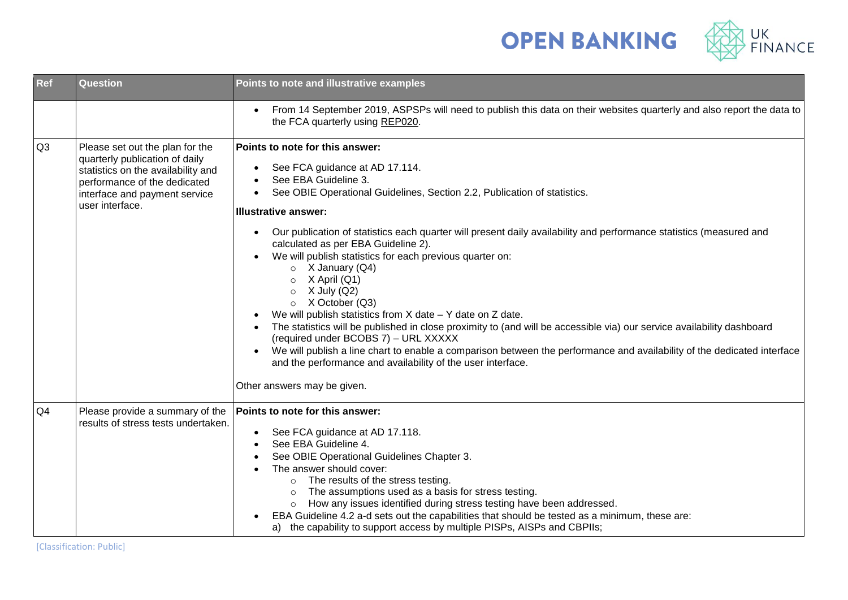



| Ref            | Question                                                                                                                                                                                    | Points to note and illustrative examples                                                                                                                                                                                                                                                                                                                                                                                                                                                                                                                                                                                                                                                                                                                                                                                                                                                                                                                                                                                                           |
|----------------|---------------------------------------------------------------------------------------------------------------------------------------------------------------------------------------------|----------------------------------------------------------------------------------------------------------------------------------------------------------------------------------------------------------------------------------------------------------------------------------------------------------------------------------------------------------------------------------------------------------------------------------------------------------------------------------------------------------------------------------------------------------------------------------------------------------------------------------------------------------------------------------------------------------------------------------------------------------------------------------------------------------------------------------------------------------------------------------------------------------------------------------------------------------------------------------------------------------------------------------------------------|
|                |                                                                                                                                                                                             | From 14 September 2019, ASPSPs will need to publish this data on their websites quarterly and also report the data to<br>$\bullet$<br>the FCA quarterly using REP020.                                                                                                                                                                                                                                                                                                                                                                                                                                                                                                                                                                                                                                                                                                                                                                                                                                                                              |
| Q3             | Please set out the plan for the<br>quarterly publication of daily<br>statistics on the availability and<br>performance of the dedicated<br>interface and payment service<br>user interface. | Points to note for this answer:<br>See FCA guidance at AD 17.114.<br>$\bullet$<br>See EBA Guideline 3.<br>See OBIE Operational Guidelines, Section 2.2, Publication of statistics.<br>Illustrative answer:<br>Our publication of statistics each quarter will present daily availability and performance statistics (measured and<br>$\bullet$<br>calculated as per EBA Guideline 2).<br>We will publish statistics for each previous quarter on:<br>$\bullet$<br>$\circ$ X January (Q4)<br>X April (Q1)<br>$\circ$<br>X July (Q2)<br>$\circ$<br>$\circ$ X October (Q3)<br>We will publish statistics from $X$ date $-Y$ date on $Z$ date.<br>The statistics will be published in close proximity to (and will be accessible via) our service availability dashboard<br>(required under BCOBS 7) - URL XXXXX<br>We will publish a line chart to enable a comparison between the performance and availability of the dedicated interface<br>$\bullet$<br>and the performance and availability of the user interface.<br>Other answers may be given. |
| Q <sub>4</sub> | Please provide a summary of the<br>results of stress tests undertaken.                                                                                                                      | Points to note for this answer:<br>See FCA guidance at AD 17.118.<br>$\bullet$<br>See EBA Guideline 4.<br>See OBIE Operational Guidelines Chapter 3.<br>The answer should cover:<br>The results of the stress testing.<br>$\circ$<br>The assumptions used as a basis for stress testing.<br>How any issues identified during stress testing have been addressed.<br>$\circ$<br>EBA Guideline 4.2 a-d sets out the capabilities that should be tested as a minimum, these are:<br>a) the capability to support access by multiple PISPs, AISPs and CBPIIs;                                                                                                                                                                                                                                                                                                                                                                                                                                                                                          |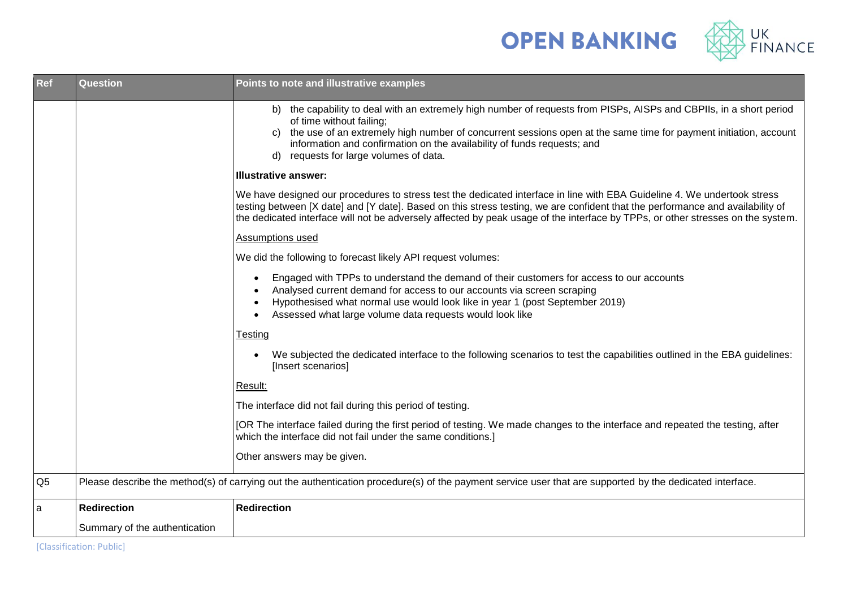



| <b>Ref</b>     | Question                      | Points to note and illustrative examples                                                                                                                                                                                                                                                                                                                                                      |
|----------------|-------------------------------|-----------------------------------------------------------------------------------------------------------------------------------------------------------------------------------------------------------------------------------------------------------------------------------------------------------------------------------------------------------------------------------------------|
|                |                               | b) the capability to deal with an extremely high number of requests from PISPs, AISPs and CBPIIs, in a short period<br>of time without failing;<br>c) the use of an extremely high number of concurrent sessions open at the same time for payment initiation, account<br>information and confirmation on the availability of funds requests; and<br>d) requests for large volumes of data.   |
|                |                               | <b>Illustrative answer:</b>                                                                                                                                                                                                                                                                                                                                                                   |
|                |                               | We have designed our procedures to stress test the dedicated interface in line with EBA Guideline 4. We undertook stress<br>testing between [X date] and [Y date]. Based on this stress testing, we are confident that the performance and availability of<br>the dedicated interface will not be adversely affected by peak usage of the interface by TPPs, or other stresses on the system. |
|                |                               | Assumptions used                                                                                                                                                                                                                                                                                                                                                                              |
|                |                               | We did the following to forecast likely API request volumes:                                                                                                                                                                                                                                                                                                                                  |
|                |                               | Engaged with TPPs to understand the demand of their customers for access to our accounts<br>$\bullet$<br>Analysed current demand for access to our accounts via screen scraping<br>Hypothesised what normal use would look like in year 1 (post September 2019)<br>Assessed what large volume data requests would look like<br>$\bullet$                                                      |
|                |                               | Testing                                                                                                                                                                                                                                                                                                                                                                                       |
|                |                               | We subjected the dedicated interface to the following scenarios to test the capabilities outlined in the EBA guidelines:<br>$\bullet$<br>[Insert scenarios]                                                                                                                                                                                                                                   |
|                |                               | Result:                                                                                                                                                                                                                                                                                                                                                                                       |
|                |                               | The interface did not fail during this period of testing.                                                                                                                                                                                                                                                                                                                                     |
|                |                               | [OR The interface failed during the first period of testing. We made changes to the interface and repeated the testing, after<br>which the interface did not fail under the same conditions.]                                                                                                                                                                                                 |
|                |                               | Other answers may be given.                                                                                                                                                                                                                                                                                                                                                                   |
| Q <sub>5</sub> |                               | Please describe the method(s) of carrying out the authentication procedure(s) of the payment service user that are supported by the dedicated interface.                                                                                                                                                                                                                                      |
| a              | <b>Redirection</b>            | <b>Redirection</b>                                                                                                                                                                                                                                                                                                                                                                            |
|                | Summary of the authentication |                                                                                                                                                                                                                                                                                                                                                                                               |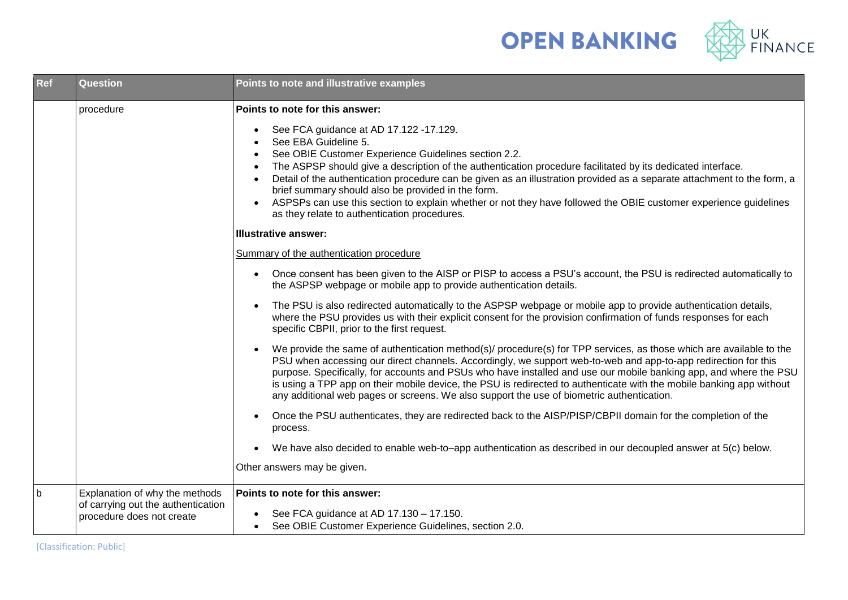



| Ref | <b>Question</b>                                                                                   | Points to note and illustrative examples                                                                                                                                                                                                                                                                                                                                                                                                                                                                                                                                                                                                                                                                         |
|-----|---------------------------------------------------------------------------------------------------|------------------------------------------------------------------------------------------------------------------------------------------------------------------------------------------------------------------------------------------------------------------------------------------------------------------------------------------------------------------------------------------------------------------------------------------------------------------------------------------------------------------------------------------------------------------------------------------------------------------------------------------------------------------------------------------------------------------|
|     | procedure                                                                                         | Points to note for this answer:<br>See FCA guidance at AD 17.122 -17.129.<br>$\bullet$<br>See EBA Guideline 5.<br>See OBIE Customer Experience Guidelines section 2.2.<br>$\bullet$<br>The ASPSP should give a description of the authentication procedure facilitated by its dedicated interface.<br>$\bullet$<br>Detail of the authentication procedure can be given as an illustration provided as a separate attachment to the form, a<br>$\bullet$<br>brief summary should also be provided in the form.<br>ASPSPs can use this section to explain whether or not they have followed the OBIE customer experience guidelines<br>as they relate to authentication procedures.<br><b>Illustrative answer:</b> |
|     |                                                                                                   | Summary of the authentication procedure                                                                                                                                                                                                                                                                                                                                                                                                                                                                                                                                                                                                                                                                          |
|     |                                                                                                   | Once consent has been given to the AISP or PISP to access a PSU's account, the PSU is redirected automatically to<br>$\bullet$<br>the ASPSP webpage or mobile app to provide authentication details.                                                                                                                                                                                                                                                                                                                                                                                                                                                                                                             |
|     |                                                                                                   | The PSU is also redirected automatically to the ASPSP webpage or mobile app to provide authentication details,<br>$\bullet$<br>where the PSU provides us with their explicit consent for the provision confirmation of funds responses for each<br>specific CBPII, prior to the first request.                                                                                                                                                                                                                                                                                                                                                                                                                   |
|     |                                                                                                   | We provide the same of authentication method(s)/ procedure(s) for TPP services, as those which are available to the<br>$\bullet$<br>PSU when accessing our direct channels. Accordingly, we support web-to-web and app-to-app redirection for this<br>purpose. Specifically, for accounts and PSUs who have installed and use our mobile banking app, and where the PSU<br>is using a TPP app on their mobile device, the PSU is redirected to authenticate with the mobile banking app without<br>any additional web pages or screens. We also support the use of biometric authentication.                                                                                                                     |
|     |                                                                                                   | Once the PSU authenticates, they are redirected back to the AISP/PISP/CBPII domain for the completion of the<br>$\bullet$<br>process.                                                                                                                                                                                                                                                                                                                                                                                                                                                                                                                                                                            |
|     |                                                                                                   | We have also decided to enable web-to-app authentication as described in our decoupled answer at 5(c) below.<br>$\bullet$                                                                                                                                                                                                                                                                                                                                                                                                                                                                                                                                                                                        |
|     |                                                                                                   | Other answers may be given.                                                                                                                                                                                                                                                                                                                                                                                                                                                                                                                                                                                                                                                                                      |
| b   | Explanation of why the methods<br>of carrying out the authentication<br>procedure does not create | Points to note for this answer:<br>See FCA guidance at AD 17.130 - 17.150.<br>$\bullet$<br>See OBIE Customer Experience Guidelines, section 2.0.                                                                                                                                                                                                                                                                                                                                                                                                                                                                                                                                                                 |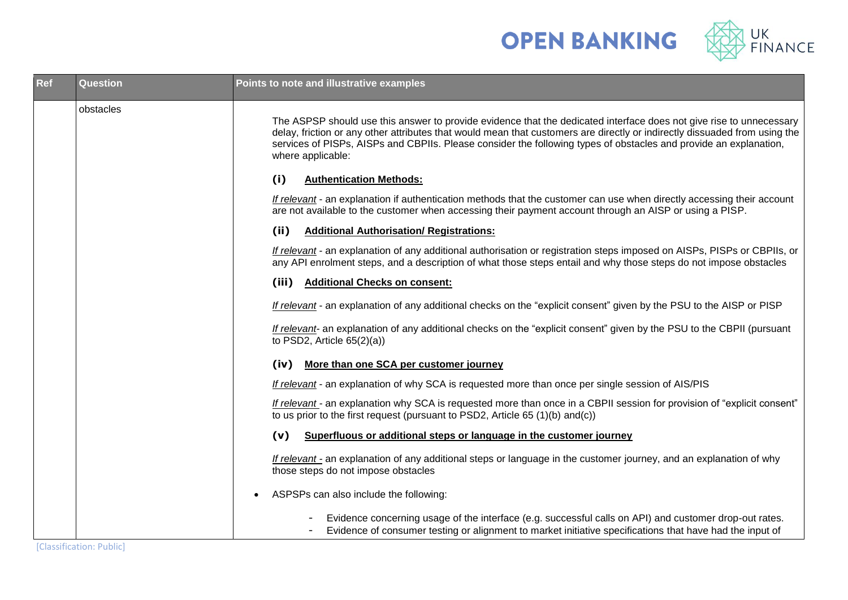

| <b>Ref</b> | <b>Question</b> | Points to note and illustrative examples                                                                                                                                                                                                                                                                                                                                                    |
|------------|-----------------|---------------------------------------------------------------------------------------------------------------------------------------------------------------------------------------------------------------------------------------------------------------------------------------------------------------------------------------------------------------------------------------------|
|            | obstacles       | The ASPSP should use this answer to provide evidence that the dedicated interface does not give rise to unnecessary<br>delay, friction or any other attributes that would mean that customers are directly or indirectly dissuaded from using the<br>services of PISPs, AISPs and CBPIIs. Please consider the following types of obstacles and provide an explanation,<br>where applicable: |
|            |                 | (i)<br><b>Authentication Methods:</b>                                                                                                                                                                                                                                                                                                                                                       |
|            |                 | If relevant - an explanation if authentication methods that the customer can use when directly accessing their account<br>are not available to the customer when accessing their payment account through an AISP or using a PISP.                                                                                                                                                           |
|            |                 | (ii)<br><b>Additional Authorisation/ Registrations:</b>                                                                                                                                                                                                                                                                                                                                     |
|            |                 | If relevant - an explanation of any additional authorisation or registration steps imposed on AISPs, PISPs or CBPIIs, or<br>any API enrolment steps, and a description of what those steps entail and why those steps do not impose obstacles                                                                                                                                               |
|            |                 | (iii) Additional Checks on consent:                                                                                                                                                                                                                                                                                                                                                         |
|            |                 | If relevant - an explanation of any additional checks on the "explicit consent" given by the PSU to the AISP or PISP                                                                                                                                                                                                                                                                        |
|            |                 | If relevant- an explanation of any additional checks on the "explicit consent" given by the PSU to the CBPII (pursuant<br>to PSD2, Article $65(2)(a)$ )                                                                                                                                                                                                                                     |
|            |                 | More than one SCA per customer journey<br>(iv)                                                                                                                                                                                                                                                                                                                                              |
|            |                 | If relevant - an explanation of why SCA is requested more than once per single session of AIS/PIS                                                                                                                                                                                                                                                                                           |
|            |                 | If relevant - an explanation why SCA is requested more than once in a CBPII session for provision of "explicit consent"<br>to us prior to the first request (pursuant to PSD2, Article 65 (1)(b) and(c))                                                                                                                                                                                    |
|            |                 | Superfluous or additional steps or language in the customer journey<br>(v)                                                                                                                                                                                                                                                                                                                  |
|            |                 | If relevant - an explanation of any additional steps or language in the customer journey, and an explanation of why<br>those steps do not impose obstacles                                                                                                                                                                                                                                  |
|            |                 | ASPSPs can also include the following:                                                                                                                                                                                                                                                                                                                                                      |
|            |                 | Evidence concerning usage of the interface (e.g. successful calls on API) and customer drop-out rates.<br>Evidence of consumer testing or alignment to market initiative specifications that have had the input of                                                                                                                                                                          |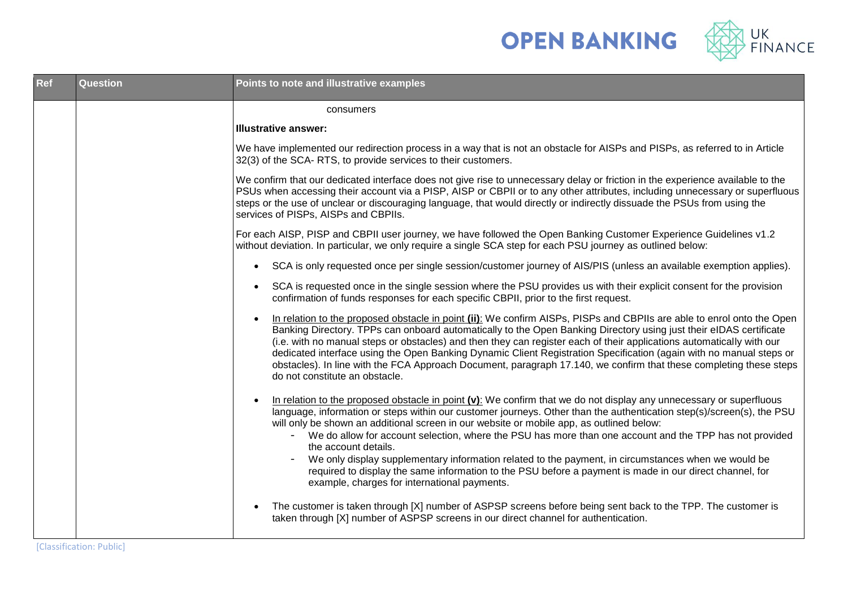



| Ref | <b>Question</b> | Points to note and illustrative examples                                                                                                                                                                                                                                                                                                                                                                                                                                                                                                                                                                                                                                                                                                                      |
|-----|-----------------|---------------------------------------------------------------------------------------------------------------------------------------------------------------------------------------------------------------------------------------------------------------------------------------------------------------------------------------------------------------------------------------------------------------------------------------------------------------------------------------------------------------------------------------------------------------------------------------------------------------------------------------------------------------------------------------------------------------------------------------------------------------|
|     |                 | consumers                                                                                                                                                                                                                                                                                                                                                                                                                                                                                                                                                                                                                                                                                                                                                     |
|     |                 | <b>Illustrative answer:</b>                                                                                                                                                                                                                                                                                                                                                                                                                                                                                                                                                                                                                                                                                                                                   |
|     |                 | We have implemented our redirection process in a way that is not an obstacle for AISPs and PISPs, as referred to in Article<br>32(3) of the SCA-RTS, to provide services to their customers.                                                                                                                                                                                                                                                                                                                                                                                                                                                                                                                                                                  |
|     |                 | We confirm that our dedicated interface does not give rise to unnecessary delay or friction in the experience available to the<br>PSUs when accessing their account via a PISP, AISP or CBPII or to any other attributes, including unnecessary or superfluous<br>steps or the use of unclear or discouraging language, that would directly or indirectly dissuade the PSUs from using the<br>services of PISPs, AISPs and CBPIIs.                                                                                                                                                                                                                                                                                                                            |
|     |                 | For each AISP, PISP and CBPII user journey, we have followed the Open Banking Customer Experience Guidelines v1.2<br>without deviation. In particular, we only require a single SCA step for each PSU journey as outlined below:                                                                                                                                                                                                                                                                                                                                                                                                                                                                                                                              |
|     |                 | SCA is only requested once per single session/customer journey of AIS/PIS (unless an available exemption applies).<br>$\bullet$                                                                                                                                                                                                                                                                                                                                                                                                                                                                                                                                                                                                                               |
|     |                 | SCA is requested once in the single session where the PSU provides us with their explicit consent for the provision<br>$\bullet$<br>confirmation of funds responses for each specific CBPII, prior to the first request.                                                                                                                                                                                                                                                                                                                                                                                                                                                                                                                                      |
|     |                 | In relation to the proposed obstacle in point (ii): We confirm AISPs, PISPs and CBPIIs are able to enrol onto the Open<br>$\bullet$<br>Banking Directory. TPPs can onboard automatically to the Open Banking Directory using just their eIDAS certificate<br>(i.e. with no manual steps or obstacles) and then they can register each of their applications automatically with our<br>dedicated interface using the Open Banking Dynamic Client Registration Specification (again with no manual steps or<br>obstacles). In line with the FCA Approach Document, paragraph 17.140, we confirm that these completing these steps<br>do not constitute an obstacle.                                                                                             |
|     |                 | In relation to the proposed obstacle in point $(v)$ : We confirm that we do not display any unnecessary or superfluous<br>$\bullet$<br>language, information or steps within our customer journeys. Other than the authentication step(s)/screen(s), the PSU<br>will only be shown an additional screen in our website or mobile app, as outlined below:<br>We do allow for account selection, where the PSU has more than one account and the TPP has not provided<br>the account details.<br>We only display supplementary information related to the payment, in circumstances when we would be<br>required to display the same information to the PSU before a payment is made in our direct channel, for<br>example, charges for international payments. |
|     |                 | The customer is taken through [X] number of ASPSP screens before being sent back to the TPP. The customer is<br>$\bullet$<br>taken through [X] number of ASPSP screens in our direct channel for authentication.                                                                                                                                                                                                                                                                                                                                                                                                                                                                                                                                              |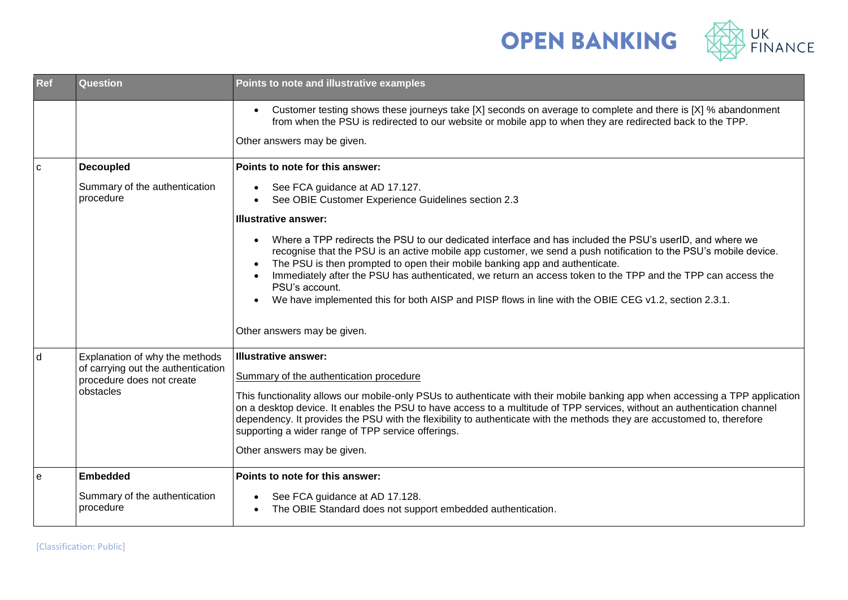



| Ref          | Question                                                                                                       | Points to note and illustrative examples                                                                                                                                                                                                                                                                                                                                                                                                                                                                                                                           |
|--------------|----------------------------------------------------------------------------------------------------------------|--------------------------------------------------------------------------------------------------------------------------------------------------------------------------------------------------------------------------------------------------------------------------------------------------------------------------------------------------------------------------------------------------------------------------------------------------------------------------------------------------------------------------------------------------------------------|
|              |                                                                                                                | Customer testing shows these journeys take [X] seconds on average to complete and there is [X] % abandonment<br>$\bullet$<br>from when the PSU is redirected to our website or mobile app to when they are redirected back to the TPP.<br>Other answers may be given.                                                                                                                                                                                                                                                                                              |
| $\mathbf{C}$ | Decoupled                                                                                                      | Points to note for this answer:                                                                                                                                                                                                                                                                                                                                                                                                                                                                                                                                    |
|              | Summary of the authentication<br>procedure                                                                     | See FCA guidance at AD 17.127.<br>$\bullet$<br>See OBIE Customer Experience Guidelines section 2.3<br>$\bullet$                                                                                                                                                                                                                                                                                                                                                                                                                                                    |
|              |                                                                                                                | <b>Illustrative answer:</b>                                                                                                                                                                                                                                                                                                                                                                                                                                                                                                                                        |
|              |                                                                                                                | Where a TPP redirects the PSU to our dedicated interface and has included the PSU's userID, and where we<br>recognise that the PSU is an active mobile app customer, we send a push notification to the PSU's mobile device.<br>The PSU is then prompted to open their mobile banking app and authenticate.<br>Immediately after the PSU has authenticated, we return an access token to the TPP and the TPP can access the<br>PSU's account.<br>We have implemented this for both AISP and PISP flows in line with the OBIE CEG v1.2, section 2.3.1.<br>$\bullet$ |
|              |                                                                                                                | Other answers may be given.                                                                                                                                                                                                                                                                                                                                                                                                                                                                                                                                        |
| d            | Explanation of why the methods<br>of carrying out the authentication<br>procedure does not create<br>obstacles | <b>Illustrative answer:</b><br>Summary of the authentication procedure<br>This functionality allows our mobile-only PSUs to authenticate with their mobile banking app when accessing a TPP application<br>on a desktop device. It enables the PSU to have access to a multitude of TPP services, without an authentication channel                                                                                                                                                                                                                                |
|              |                                                                                                                | dependency. It provides the PSU with the flexibility to authenticate with the methods they are accustomed to, therefore<br>supporting a wider range of TPP service offerings.                                                                                                                                                                                                                                                                                                                                                                                      |
|              |                                                                                                                | Other answers may be given.                                                                                                                                                                                                                                                                                                                                                                                                                                                                                                                                        |
| $\mathbf{e}$ | <b>Embedded</b>                                                                                                | Points to note for this answer:                                                                                                                                                                                                                                                                                                                                                                                                                                                                                                                                    |
|              | Summary of the authentication<br>procedure                                                                     | See FCA guidance at AD 17.128.<br>$\bullet$<br>The OBIE Standard does not support embedded authentication.<br>$\bullet$                                                                                                                                                                                                                                                                                                                                                                                                                                            |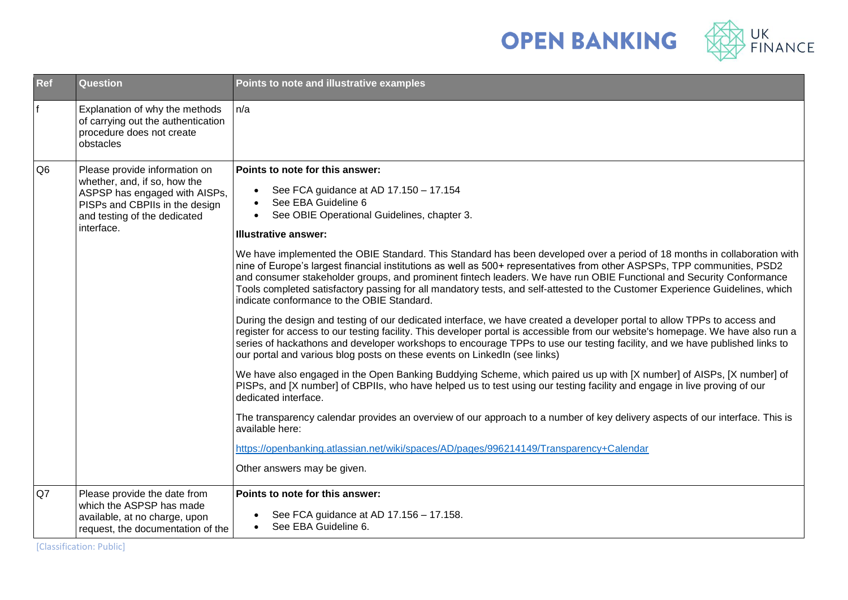

| Ref            | <b>Question</b>                                                                                                                                                                | Points to note and illustrative examples                                                                                                                                                                                                                                                                                                                                                                                                                                                                                                                                                                                                                                                                                                                                                                                                                                                                                                                                                                                                                                                                                                                                                                                                                                                                                                                                                                                                                                                                                                                                                                                                                                                                                                                                                                               |
|----------------|--------------------------------------------------------------------------------------------------------------------------------------------------------------------------------|------------------------------------------------------------------------------------------------------------------------------------------------------------------------------------------------------------------------------------------------------------------------------------------------------------------------------------------------------------------------------------------------------------------------------------------------------------------------------------------------------------------------------------------------------------------------------------------------------------------------------------------------------------------------------------------------------------------------------------------------------------------------------------------------------------------------------------------------------------------------------------------------------------------------------------------------------------------------------------------------------------------------------------------------------------------------------------------------------------------------------------------------------------------------------------------------------------------------------------------------------------------------------------------------------------------------------------------------------------------------------------------------------------------------------------------------------------------------------------------------------------------------------------------------------------------------------------------------------------------------------------------------------------------------------------------------------------------------------------------------------------------------------------------------------------------------|
| f              | Explanation of why the methods<br>of carrying out the authentication<br>procedure does not create<br>obstacles                                                                 | n/a                                                                                                                                                                                                                                                                                                                                                                                                                                                                                                                                                                                                                                                                                                                                                                                                                                                                                                                                                                                                                                                                                                                                                                                                                                                                                                                                                                                                                                                                                                                                                                                                                                                                                                                                                                                                                    |
| Q <sub>6</sub> | Please provide information on<br>whether, and, if so, how the<br>ASPSP has engaged with AISPs,<br>PISPs and CBPIIs in the design<br>and testing of the dedicated<br>interface. | Points to note for this answer:<br>See FCA guidance at AD 17.150 - 17.154<br>$\bullet$<br>See EBA Guideline 6<br>$\bullet$<br>See OBIE Operational Guidelines, chapter 3.<br>$\bullet$<br><b>Illustrative answer:</b><br>We have implemented the OBIE Standard. This Standard has been developed over a period of 18 months in collaboration with<br>nine of Europe's largest financial institutions as well as 500+ representatives from other ASPSPs, TPP communities, PSD2<br>and consumer stakeholder groups, and prominent fintech leaders. We have run OBIE Functional and Security Conformance<br>Tools completed satisfactory passing for all mandatory tests, and self-attested to the Customer Experience Guidelines, which<br>indicate conformance to the OBIE Standard.<br>During the design and testing of our dedicated interface, we have created a developer portal to allow TPPs to access and<br>register for access to our testing facility. This developer portal is accessible from our website's homepage. We have also run a<br>series of hackathons and developer workshops to encourage TPPs to use our testing facility, and we have published links to<br>our portal and various blog posts on these events on LinkedIn (see links)<br>We have also engaged in the Open Banking Buddying Scheme, which paired us up with [X number] of AISPs, [X number] of<br>PISPs, and [X number] of CBPIIs, who have helped us to test using our testing facility and engage in live proving of our<br>dedicated interface.<br>The transparency calendar provides an overview of our approach to a number of key delivery aspects of our interface. This is<br>available here:<br>https://openbanking.atlassian.net/wiki/spaces/AD/pages/996214149/Transparency+Calendar<br>Other answers may be given. |
| Q7             | Please provide the date from<br>which the ASPSP has made<br>available, at no charge, upon<br>request, the documentation of the                                                 | Points to note for this answer:<br>See FCA guidance at AD 17.156 - 17.158.<br>See EBA Guideline 6.<br>$\bullet$                                                                                                                                                                                                                                                                                                                                                                                                                                                                                                                                                                                                                                                                                                                                                                                                                                                                                                                                                                                                                                                                                                                                                                                                                                                                                                                                                                                                                                                                                                                                                                                                                                                                                                        |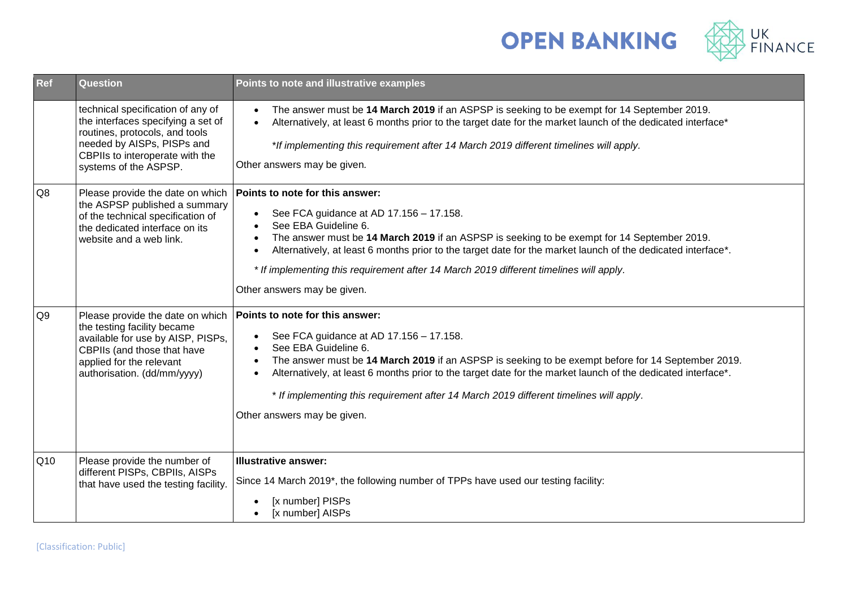



| <b>Ref</b>     | <b>Question</b>                                                                                                                                                                                     | Points to note and illustrative examples                                                                                                                                                                                                                                                                                                                                                                                                                                                 |
|----------------|-----------------------------------------------------------------------------------------------------------------------------------------------------------------------------------------------------|------------------------------------------------------------------------------------------------------------------------------------------------------------------------------------------------------------------------------------------------------------------------------------------------------------------------------------------------------------------------------------------------------------------------------------------------------------------------------------------|
|                | technical specification of any of<br>the interfaces specifying a set of<br>routines, protocols, and tools<br>needed by AISPs, PISPs and<br>CBPIIs to interoperate with the<br>systems of the ASPSP. | The answer must be 14 March 2019 if an ASPSP is seeking to be exempt for 14 September 2019.<br>$\bullet$<br>Alternatively, at least 6 months prior to the target date for the market launch of the dedicated interface*<br>$\bullet$<br>*If implementing this requirement after 14 March 2019 different timelines will apply.<br>Other answers may be given.                                                                                                                             |
| Q8             | Please provide the date on which<br>the ASPSP published a summary<br>of the technical specification of<br>the dedicated interface on its<br>website and a web link.                                 | Points to note for this answer:<br>See FCA guidance at AD 17.156 - 17.158.<br>$\bullet$<br>See EBA Guideline 6.<br>The answer must be 14 March 2019 if an ASPSP is seeking to be exempt for 14 September 2019.<br>$\bullet$<br>Alternatively, at least 6 months prior to the target date for the market launch of the dedicated interface*.<br>$\bullet$<br>* If implementing this requirement after 14 March 2019 different timelines will apply.<br>Other answers may be given.        |
| Q <sub>9</sub> | Please provide the date on which<br>the testing facility became<br>available for use by AISP, PISPs,<br>CBPIIs (and those that have<br>applied for the relevant<br>authorisation. (dd/mm/yyyy)      | Points to note for this answer:<br>See FCA guidance at AD 17.156 - 17.158.<br>$\bullet$<br>See EBA Guideline 6.<br>$\bullet$<br>The answer must be 14 March 2019 if an ASPSP is seeking to be exempt before for 14 September 2019.<br>$\bullet$<br>Alternatively, at least 6 months prior to the target date for the market launch of the dedicated interface*.<br>* If implementing this requirement after 14 March 2019 different timelines will apply.<br>Other answers may be given. |
| Q10            | Please provide the number of<br>different PISPs, CBPIIs, AISPs<br>that have used the testing facility.                                                                                              | <b>Illustrative answer:</b><br>Since 14 March 2019*, the following number of TPPs have used our testing facility:<br>[x number] PISPs<br>[x number] AISPs<br>$\bullet$                                                                                                                                                                                                                                                                                                                   |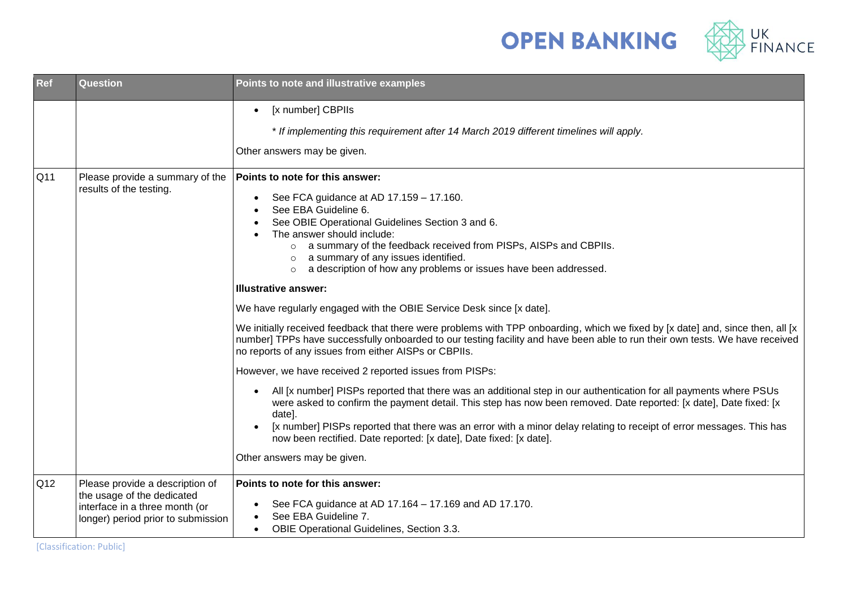



| <b>Ref</b>      | Question                                                                                           | Points to note and illustrative examples                                                                                                                                                                                                                                                                                                                                                                                                                                                   |
|-----------------|----------------------------------------------------------------------------------------------------|--------------------------------------------------------------------------------------------------------------------------------------------------------------------------------------------------------------------------------------------------------------------------------------------------------------------------------------------------------------------------------------------------------------------------------------------------------------------------------------------|
|                 |                                                                                                    | [x number] CBPIIs<br>$\bullet$                                                                                                                                                                                                                                                                                                                                                                                                                                                             |
|                 |                                                                                                    | * If implementing this requirement after 14 March 2019 different timelines will apply.                                                                                                                                                                                                                                                                                                                                                                                                     |
|                 |                                                                                                    | Other answers may be given.                                                                                                                                                                                                                                                                                                                                                                                                                                                                |
| Q <sub>11</sub> | Please provide a summary of the<br>results of the testing.                                         | Points to note for this answer:<br>See FCA guidance at AD 17.159 - 17.160.<br>$\bullet$<br>See EBA Guideline 6.<br>See OBIE Operational Guidelines Section 3 and 6.<br>The answer should include:<br>o a summary of the feedback received from PISPs, AISPs and CBPIIs.<br>$\circ$ a summary of any issues identified.<br>o a description of how any problems or issues have been addressed.                                                                                               |
|                 |                                                                                                    | <b>Illustrative answer:</b>                                                                                                                                                                                                                                                                                                                                                                                                                                                                |
|                 |                                                                                                    | We have regularly engaged with the OBIE Service Desk since [x date].                                                                                                                                                                                                                                                                                                                                                                                                                       |
|                 |                                                                                                    | We initially received feedback that there were problems with TPP onboarding, which we fixed by [x date] and, since then, all [x<br>number] TPPs have successfully onboarded to our testing facility and have been able to run their own tests. We have received<br>no reports of any issues from either AISPs or CBPIIs.                                                                                                                                                                   |
|                 |                                                                                                    | However, we have received 2 reported issues from PISPs:                                                                                                                                                                                                                                                                                                                                                                                                                                    |
|                 |                                                                                                    | All [x number] PISPs reported that there was an additional step in our authentication for all payments where PSUs<br>$\bullet$<br>were asked to confirm the payment detail. This step has now been removed. Date reported: [x date], Date fixed: [x<br>date].<br>[x number] PISPs reported that there was an error with a minor delay relating to receipt of error messages. This has<br>now been rectified. Date reported: [x date], Date fixed: [x date].<br>Other answers may be given. |
| Q12             | Please provide a description of                                                                    | Points to note for this answer:                                                                                                                                                                                                                                                                                                                                                                                                                                                            |
|                 | the usage of the dedicated<br>interface in a three month (or<br>longer) period prior to submission | See FCA guidance at AD 17.164 - 17.169 and AD 17.170.<br>$\bullet$<br>See EBA Guideline 7.<br>OBIE Operational Guidelines, Section 3.3.<br>$\bullet$                                                                                                                                                                                                                                                                                                                                       |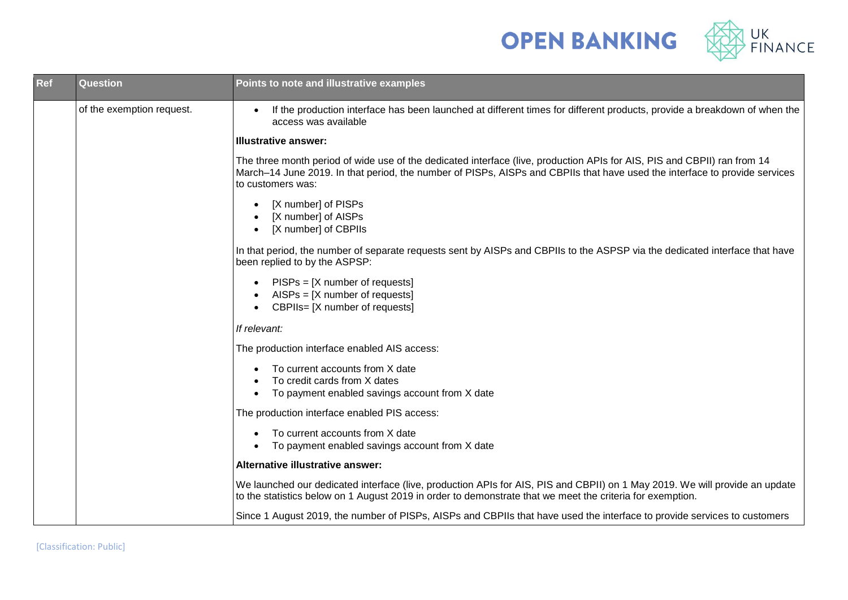



| <b>Ref</b> | Question                  | Points to note and illustrative examples                                                                                                                                                                                                                                    |
|------------|---------------------------|-----------------------------------------------------------------------------------------------------------------------------------------------------------------------------------------------------------------------------------------------------------------------------|
|            | of the exemption request. | If the production interface has been launched at different times for different products, provide a breakdown of when the<br>$\bullet$<br>access was available                                                                                                               |
|            |                           | <b>Illustrative answer:</b>                                                                                                                                                                                                                                                 |
|            |                           | The three month period of wide use of the dedicated interface (live, production APIs for AIS, PIS and CBPII) ran from 14<br>March–14 June 2019. In that period, the number of PISPs, AISPs and CBPIIs that have used the interface to provide services<br>to customers was: |
|            |                           | [X number] of PISPs<br>$\bullet$<br>[X number] of AISPs<br>[X number] of CBPIIs<br>$\bullet$                                                                                                                                                                                |
|            |                           | In that period, the number of separate requests sent by AISPs and CBPIIs to the ASPSP via the dedicated interface that have<br>been replied to by the ASPSP:                                                                                                                |
|            |                           | $PISPs = [X number of requests]$<br>$\bullet$<br>$AISPs = [X number of requests]$<br>$\bullet$<br>CBPIIs= [X number of requests]<br>$\bullet$                                                                                                                               |
|            |                           | If relevant:                                                                                                                                                                                                                                                                |
|            |                           | The production interface enabled AIS access:                                                                                                                                                                                                                                |
|            |                           | To current accounts from X date<br>To credit cards from X dates<br>$\bullet$<br>To payment enabled savings account from X date<br>$\bullet$                                                                                                                                 |
|            |                           | The production interface enabled PIS access:                                                                                                                                                                                                                                |
|            |                           | To current accounts from X date<br>To payment enabled savings account from X date                                                                                                                                                                                           |
|            |                           | Alternative illustrative answer:                                                                                                                                                                                                                                            |
|            |                           | We launched our dedicated interface (live, production APIs for AIS, PIS and CBPII) on 1 May 2019. We will provide an update<br>to the statistics below on 1 August 2019 in order to demonstrate that we meet the criteria for exemption.                                    |
|            |                           | Since 1 August 2019, the number of PISPs, AISPs and CBPIIs that have used the interface to provide services to customers                                                                                                                                                    |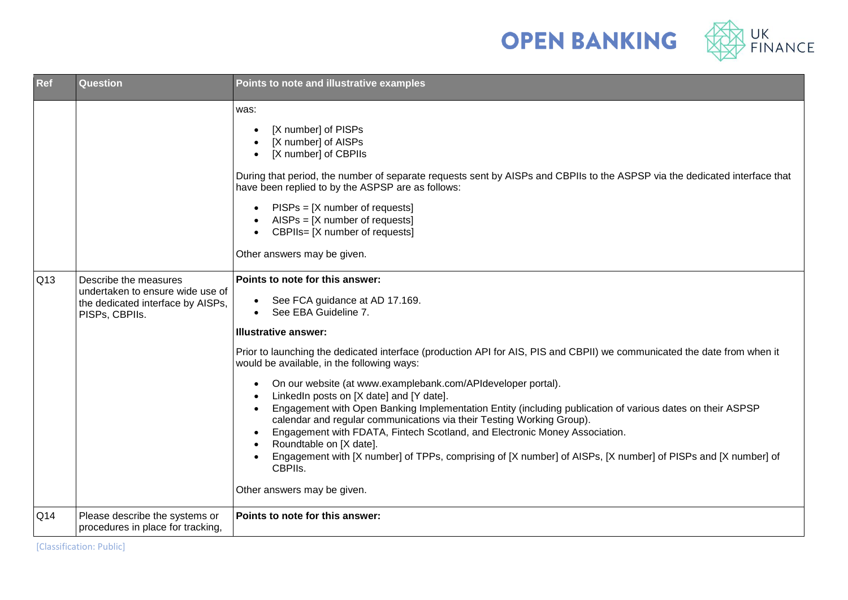



| Ref | Question                                                                                                         | Points to note and illustrative examples                                                                                                                                                                                                                                                                                                                                                                                                                                                                                                                                                                                                                                                                                                                                                                                                                                                          |
|-----|------------------------------------------------------------------------------------------------------------------|---------------------------------------------------------------------------------------------------------------------------------------------------------------------------------------------------------------------------------------------------------------------------------------------------------------------------------------------------------------------------------------------------------------------------------------------------------------------------------------------------------------------------------------------------------------------------------------------------------------------------------------------------------------------------------------------------------------------------------------------------------------------------------------------------------------------------------------------------------------------------------------------------|
|     |                                                                                                                  | was:<br>[X number] of PISPs<br>[X number] of AISPs<br>[X number] of CBPIIs<br>During that period, the number of separate requests sent by AISPs and CBPIIs to the ASPSP via the dedicated interface that<br>have been replied to by the ASPSP are as follows:<br>$PISPs = [X number of requests]$<br>$AISPs = [X number of requests]$<br>CBPIIs= [X number of requests]<br>$\bullet$<br>Other answers may be given.                                                                                                                                                                                                                                                                                                                                                                                                                                                                               |
| Q13 | Describe the measures<br>undertaken to ensure wide use of<br>the dedicated interface by AISPs,<br>PISPs, CBPIIs. | Points to note for this answer:<br>See FCA guidance at AD 17.169.<br>See EBA Guideline 7.<br><b>Illustrative answer:</b><br>Prior to launching the dedicated interface (production API for AIS, PIS and CBPII) we communicated the date from when it<br>would be available, in the following ways:<br>On our website (at www.examplebank.com/APIdeveloper portal).<br>LinkedIn posts on [X date] and [Y date].<br>Engagement with Open Banking Implementation Entity (including publication of various dates on their ASPSP<br>calendar and regular communications via their Testing Working Group).<br>Engagement with FDATA, Fintech Scotland, and Electronic Money Association.<br>$\bullet$<br>Roundtable on [X date].<br>$\bullet$<br>Engagement with [X number] of TPPs, comprising of [X number] of AISPs, [X number] of PISPs and [X number] of<br>CBPIIs.<br>Other answers may be given. |
| Q14 | Please describe the systems or<br>procedures in place for tracking,                                              | Points to note for this answer:                                                                                                                                                                                                                                                                                                                                                                                                                                                                                                                                                                                                                                                                                                                                                                                                                                                                   |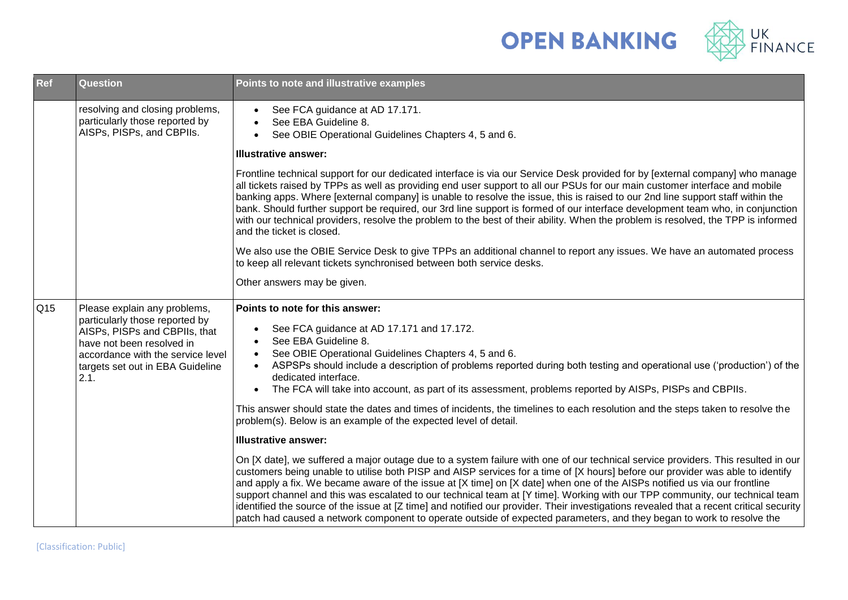



| Ref | <b>Question</b>                                                                                                                                                                                               | Points to note and illustrative examples                                                                                                                                                                                                                                                                                                                                                                                                                                                                                                                                                                                                                                                                                                                                                                                                                                                                                                                                                                                                                                                                                                                                                                                                                                                                                                                                                                                                                                                                                                 |  |
|-----|---------------------------------------------------------------------------------------------------------------------------------------------------------------------------------------------------------------|------------------------------------------------------------------------------------------------------------------------------------------------------------------------------------------------------------------------------------------------------------------------------------------------------------------------------------------------------------------------------------------------------------------------------------------------------------------------------------------------------------------------------------------------------------------------------------------------------------------------------------------------------------------------------------------------------------------------------------------------------------------------------------------------------------------------------------------------------------------------------------------------------------------------------------------------------------------------------------------------------------------------------------------------------------------------------------------------------------------------------------------------------------------------------------------------------------------------------------------------------------------------------------------------------------------------------------------------------------------------------------------------------------------------------------------------------------------------------------------------------------------------------------------|--|
|     | resolving and closing problems,<br>particularly those reported by<br>AISPs, PISPs, and CBPIIs.                                                                                                                | See FCA guidance at AD 17.171.<br>$\bullet$<br>See EBA Guideline 8.<br>$\bullet$<br>See OBIE Operational Guidelines Chapters 4, 5 and 6.<br>$\bullet$<br><b>Illustrative answer:</b>                                                                                                                                                                                                                                                                                                                                                                                                                                                                                                                                                                                                                                                                                                                                                                                                                                                                                                                                                                                                                                                                                                                                                                                                                                                                                                                                                     |  |
|     |                                                                                                                                                                                                               | Frontline technical support for our dedicated interface is via our Service Desk provided for by [external company] who manage<br>all tickets raised by TPPs as well as providing end user support to all our PSUs for our main customer interface and mobile<br>banking apps. Where [external company] is unable to resolve the issue, this is raised to our 2nd line support staff within the<br>bank. Should further support be required, our 3rd line support is formed of our interface development team who, in conjunction<br>with our technical providers, resolve the problem to the best of their ability. When the problem is resolved, the TPP is informed<br>and the ticket is closed.<br>We also use the OBIE Service Desk to give TPPs an additional channel to report any issues. We have an automated process                                                                                                                                                                                                                                                                                                                                                                                                                                                                                                                                                                                                                                                                                                            |  |
|     |                                                                                                                                                                                                               | to keep all relevant tickets synchronised between both service desks.<br>Other answers may be given.                                                                                                                                                                                                                                                                                                                                                                                                                                                                                                                                                                                                                                                                                                                                                                                                                                                                                                                                                                                                                                                                                                                                                                                                                                                                                                                                                                                                                                     |  |
| Q15 | Please explain any problems,<br>particularly those reported by<br>AISPs, PISPs and CBPIIs, that<br>have not been resolved in<br>accordance with the service level<br>targets set out in EBA Guideline<br>2.1. | Points to note for this answer:<br>See FCA guidance at AD 17.171 and 17.172.<br>$\bullet$<br>See EBA Guideline 8.<br>$\bullet$<br>See OBIE Operational Guidelines Chapters 4, 5 and 6.<br>$\bullet$<br>ASPSPs should include a description of problems reported during both testing and operational use ('production') of the<br>$\bullet$<br>dedicated interface.<br>The FCA will take into account, as part of its assessment, problems reported by AISPs, PISPs and CBPIIs.<br>$\bullet$<br>This answer should state the dates and times of incidents, the timelines to each resolution and the steps taken to resolve the<br>problem(s). Below is an example of the expected level of detail.<br><b>Illustrative answer:</b><br>On [X date], we suffered a major outage due to a system failure with one of our technical service providers. This resulted in our<br>customers being unable to utilise both PISP and AISP services for a time of [X hours] before our provider was able to identify<br>and apply a fix. We became aware of the issue at [X time] on [X date] when one of the AISPs notified us via our frontline<br>support channel and this was escalated to our technical team at [Y time]. Working with our TPP community, our technical team<br>identified the source of the issue at [Z time] and notified our provider. Their investigations revealed that a recent critical security<br>patch had caused a network component to operate outside of expected parameters, and they began to work to resolve the |  |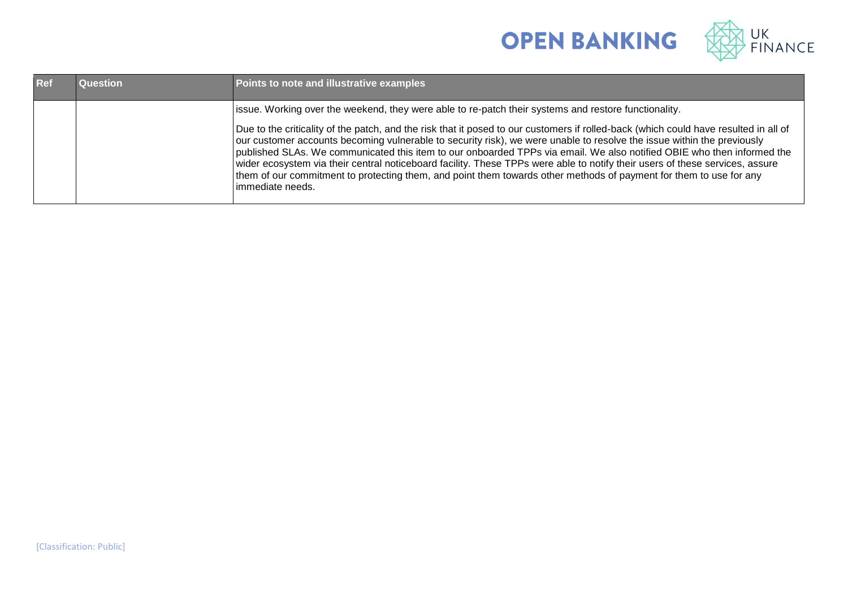



| <b>Ref</b> | Question | Points to note and illustrative examples                                                                                                                                                                                                                                                                                                                                                                                                                                                                                                                                                                                                                           |
|------------|----------|--------------------------------------------------------------------------------------------------------------------------------------------------------------------------------------------------------------------------------------------------------------------------------------------------------------------------------------------------------------------------------------------------------------------------------------------------------------------------------------------------------------------------------------------------------------------------------------------------------------------------------------------------------------------|
|            |          | issue. Working over the weekend, they were able to re-patch their systems and restore functionality.                                                                                                                                                                                                                                                                                                                                                                                                                                                                                                                                                               |
|            |          | Due to the criticality of the patch, and the risk that it posed to our customers if rolled-back (which could have resulted in all of<br>our customer accounts becoming vulnerable to security risk), we were unable to resolve the issue within the previously<br>published SLAs. We communicated this item to our onboarded TPPs via email. We also notified OBIE who then informed the<br>wider ecosystem via their central noticeboard facility. These TPPs were able to notify their users of these services, assure<br>them of our commitment to protecting them, and point them towards other methods of payment for them to use for any<br>immediate needs. |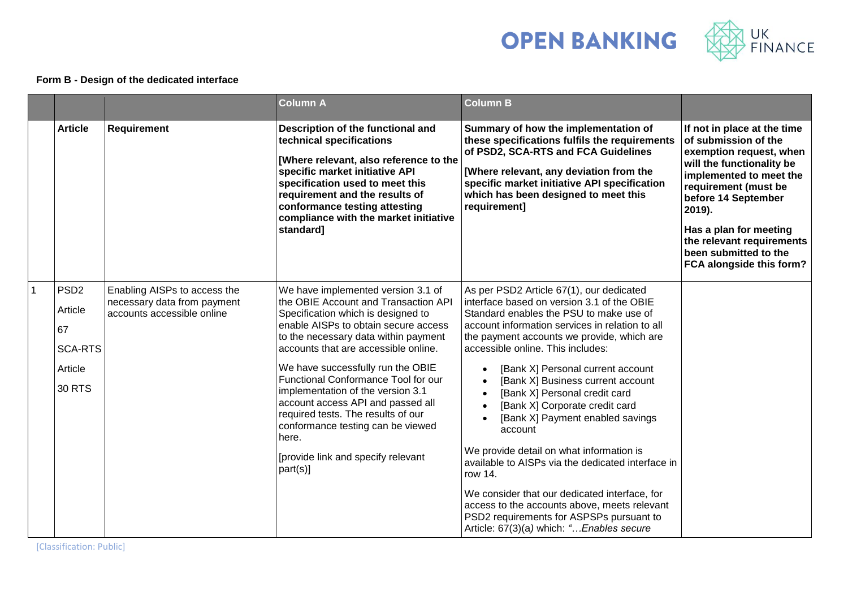



## **Form B - Design of the dedicated interface**

|                |                                                                                 |                                                                                           | <b>Column A</b>                                                                                                                                                                                                                                                                                                                                                                                                                                                                                                                      | <b>Column B</b>                                                                                                                                                                                                                                                                                                                                                                                                                                                                                                                                                                                                                                                                                                                                                           |                                                                                                                                                                                                                                                                                                             |
|----------------|---------------------------------------------------------------------------------|-------------------------------------------------------------------------------------------|--------------------------------------------------------------------------------------------------------------------------------------------------------------------------------------------------------------------------------------------------------------------------------------------------------------------------------------------------------------------------------------------------------------------------------------------------------------------------------------------------------------------------------------|---------------------------------------------------------------------------------------------------------------------------------------------------------------------------------------------------------------------------------------------------------------------------------------------------------------------------------------------------------------------------------------------------------------------------------------------------------------------------------------------------------------------------------------------------------------------------------------------------------------------------------------------------------------------------------------------------------------------------------------------------------------------------|-------------------------------------------------------------------------------------------------------------------------------------------------------------------------------------------------------------------------------------------------------------------------------------------------------------|
|                | <b>Article</b>                                                                  | Requirement                                                                               | Description of the functional and<br>technical specifications<br>[Where relevant, also reference to the<br>specific market initiative API<br>specification used to meet this<br>requirement and the results of<br>conformance testing attesting<br>compliance with the market initiative<br>standard]                                                                                                                                                                                                                                | Summary of how the implementation of<br>these specifications fulfils the requirements<br>of PSD2, SCA-RTS and FCA Guidelines<br>[Where relevant, any deviation from the<br>specific market initiative API specification<br>which has been designed to meet this<br>requirement]                                                                                                                                                                                                                                                                                                                                                                                                                                                                                           | If not in place at the time<br>of submission of the<br>exemption request, when<br>will the functionality be<br>implemented to meet the<br>requirement (must be<br>before 14 September<br>2019).<br>Has a plan for meeting<br>the relevant requirements<br>been submitted to the<br>FCA alongside this form? |
| $\overline{1}$ | PSD <sub>2</sub><br>Article<br>67<br><b>SCA-RTS</b><br>Article<br><b>30 RTS</b> | Enabling AISPs to access the<br>necessary data from payment<br>accounts accessible online | We have implemented version 3.1 of<br>the OBIE Account and Transaction API<br>Specification which is designed to<br>enable AISPs to obtain secure access<br>to the necessary data within payment<br>accounts that are accessible online.<br>We have successfully run the OBIE<br>Functional Conformance Tool for our<br>implementation of the version 3.1<br>account access API and passed all<br>required tests. The results of our<br>conformance testing can be viewed<br>here.<br>[provide link and specify relevant<br>part(s)] | As per PSD2 Article 67(1), our dedicated<br>interface based on version 3.1 of the OBIE<br>Standard enables the PSU to make use of<br>account information services in relation to all<br>the payment accounts we provide, which are<br>accessible online. This includes:<br>[Bank X] Personal current account<br>[Bank X] Business current account<br>[Bank X] Personal credit card<br>[Bank X] Corporate credit card<br>[Bank X] Payment enabled savings<br>account<br>We provide detail on what information is<br>available to AISPs via the dedicated interface in<br>row 14.<br>We consider that our dedicated interface, for<br>access to the accounts above, meets relevant<br>PSD2 requirements for ASPSPs pursuant to<br>Article: 67(3)(a) which: " Enables secure |                                                                                                                                                                                                                                                                                                             |

[Classification: Public]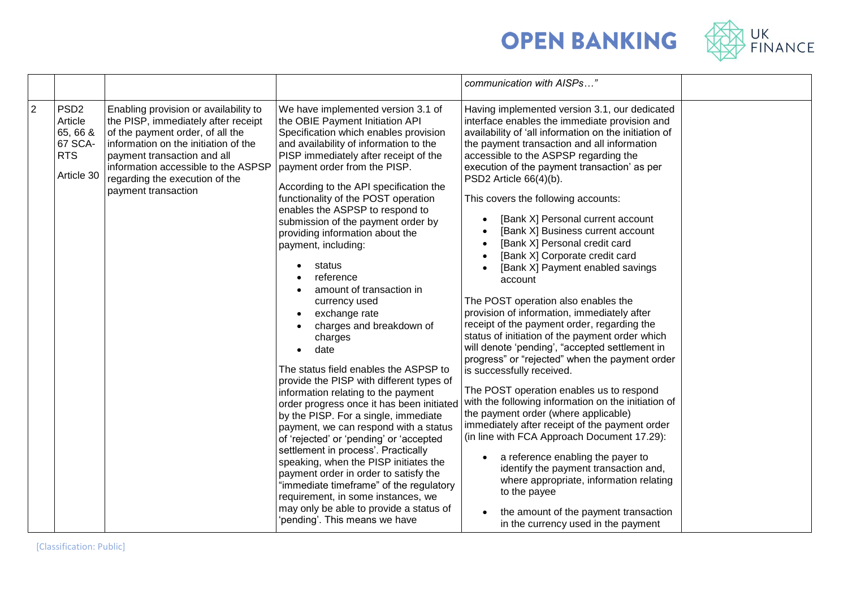



|                |                                                                                |                                                                                                                                                                                                                                                                                         |                                                                                                                                                                                                                                                                                                                                                                                                                                                                                                                                                                                                                                                                                                                                                                                                                                                                                                                                                                                                                                                                                                                                                                                      | communication with AISPs"                                                                                                                                                                                                                                                                                                                                                                                                                                                                                                                                                                                                                                                                                                                                                                                                                                                                                                                                                                                                                                                                                                                                                                                                                                                                                                                                  |  |
|----------------|--------------------------------------------------------------------------------|-----------------------------------------------------------------------------------------------------------------------------------------------------------------------------------------------------------------------------------------------------------------------------------------|--------------------------------------------------------------------------------------------------------------------------------------------------------------------------------------------------------------------------------------------------------------------------------------------------------------------------------------------------------------------------------------------------------------------------------------------------------------------------------------------------------------------------------------------------------------------------------------------------------------------------------------------------------------------------------------------------------------------------------------------------------------------------------------------------------------------------------------------------------------------------------------------------------------------------------------------------------------------------------------------------------------------------------------------------------------------------------------------------------------------------------------------------------------------------------------|------------------------------------------------------------------------------------------------------------------------------------------------------------------------------------------------------------------------------------------------------------------------------------------------------------------------------------------------------------------------------------------------------------------------------------------------------------------------------------------------------------------------------------------------------------------------------------------------------------------------------------------------------------------------------------------------------------------------------------------------------------------------------------------------------------------------------------------------------------------------------------------------------------------------------------------------------------------------------------------------------------------------------------------------------------------------------------------------------------------------------------------------------------------------------------------------------------------------------------------------------------------------------------------------------------------------------------------------------------|--|
| $\overline{2}$ | PSD <sub>2</sub><br>Article<br>65, 66 &<br>67 SCA-<br><b>RTS</b><br>Article 30 | Enabling provision or availability to<br>the PISP, immediately after receipt<br>of the payment order, of all the<br>information on the initiation of the<br>payment transaction and all<br>information accessible to the ASPSP<br>regarding the execution of the<br>payment transaction | We have implemented version 3.1 of<br>the OBIE Payment Initiation API<br>Specification which enables provision<br>and availability of information to the<br>PISP immediately after receipt of the<br>payment order from the PISP.<br>According to the API specification the<br>functionality of the POST operation<br>enables the ASPSP to respond to<br>submission of the payment order by<br>providing information about the<br>payment, including:<br>status<br>reference<br>amount of transaction in<br>currency used<br>exchange rate<br>charges and breakdown of<br>charges<br>date<br>The status field enables the ASPSP to<br>provide the PISP with different types of<br>information relating to the payment<br>order progress once it has been initiated<br>by the PISP. For a single, immediate<br>payment, we can respond with a status<br>of 'rejected' or 'pending' or 'accepted<br>settlement in process'. Practically<br>speaking, when the PISP initiates the<br>payment order in order to satisfy the<br>"immediate timeframe" of the regulatory<br>requirement, in some instances, we<br>may only be able to provide a status of<br>'pending'. This means we have | Having implemented version 3.1, our dedicated<br>interface enables the immediate provision and<br>availability of 'all information on the initiation of<br>the payment transaction and all information<br>accessible to the ASPSP regarding the<br>execution of the payment transaction' as per<br>PSD2 Article 66(4)(b).<br>This covers the following accounts:<br>[Bank X] Personal current account<br>[Bank X] Business current account<br>[Bank X] Personal credit card<br>[Bank X] Corporate credit card<br>[Bank X] Payment enabled savings<br>account<br>The POST operation also enables the<br>provision of information, immediately after<br>receipt of the payment order, regarding the<br>status of initiation of the payment order which<br>will denote 'pending', "accepted settlement in<br>progress" or "rejected" when the payment order<br>is successfully received.<br>The POST operation enables us to respond<br>with the following information on the initiation of<br>the payment order (where applicable)<br>immediately after receipt of the payment order<br>(in line with FCA Approach Document 17.29):<br>a reference enabling the payer to<br>identify the payment transaction and,<br>where appropriate, information relating<br>to the payee<br>the amount of the payment transaction<br>in the currency used in the payment |  |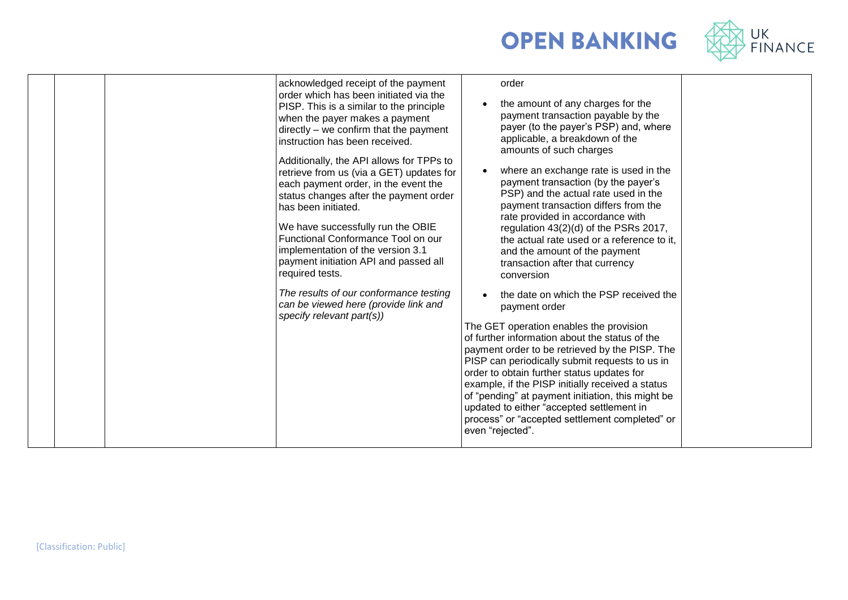



| acknowledged receipt of the payment<br>order which has been initiated via the<br>PISP. This is a similar to the principle<br>when the payer makes a payment<br>directly – we confirm that the payment<br>instruction has been received.<br>Additionally, the API allows for TPPs to<br>retrieve from us (via a GET) updates for<br>each payment order, in the event the<br>status changes after the payment order<br>has been initiated.<br>We have successfully run the OBIE<br>Functional Conformance Tool on our<br>implementation of the version 3.1<br>payment initiation API and passed all<br>required tests.<br>The results of our conformance testing<br>can be viewed here (provide link and<br>specify relevant part(s)) | order<br>the amount of any charges for the<br>payment transaction payable by the<br>payer (to the payer's PSP) and, where<br>applicable, a breakdown of the<br>amounts of such charges<br>where an exchange rate is used in the<br>payment transaction (by the payer's<br>PSP) and the actual rate used in the<br>payment transaction differs from the<br>rate provided in accordance with<br>regulation 43(2)(d) of the PSRs 2017,<br>the actual rate used or a reference to it,<br>and the amount of the payment<br>transaction after that currency<br>conversion<br>the date on which the PSP received the<br>payment order<br>The GET operation enables the provision<br>of further information about the status of the<br>payment order to be retrieved by the PISP. The<br>PISP can periodically submit requests to us in<br>order to obtain further status updates for<br>example, if the PISP initially received a status<br>of "pending" at payment initiation, this might be<br>updated to either "accepted settlement in<br>process" or "accepted settlement completed" or<br>even "rejected". |
|-------------------------------------------------------------------------------------------------------------------------------------------------------------------------------------------------------------------------------------------------------------------------------------------------------------------------------------------------------------------------------------------------------------------------------------------------------------------------------------------------------------------------------------------------------------------------------------------------------------------------------------------------------------------------------------------------------------------------------------|-----------------------------------------------------------------------------------------------------------------------------------------------------------------------------------------------------------------------------------------------------------------------------------------------------------------------------------------------------------------------------------------------------------------------------------------------------------------------------------------------------------------------------------------------------------------------------------------------------------------------------------------------------------------------------------------------------------------------------------------------------------------------------------------------------------------------------------------------------------------------------------------------------------------------------------------------------------------------------------------------------------------------------------------------------------------------------------------------------------|
|-------------------------------------------------------------------------------------------------------------------------------------------------------------------------------------------------------------------------------------------------------------------------------------------------------------------------------------------------------------------------------------------------------------------------------------------------------------------------------------------------------------------------------------------------------------------------------------------------------------------------------------------------------------------------------------------------------------------------------------|-----------------------------------------------------------------------------------------------------------------------------------------------------------------------------------------------------------------------------------------------------------------------------------------------------------------------------------------------------------------------------------------------------------------------------------------------------------------------------------------------------------------------------------------------------------------------------------------------------------------------------------------------------------------------------------------------------------------------------------------------------------------------------------------------------------------------------------------------------------------------------------------------------------------------------------------------------------------------------------------------------------------------------------------------------------------------------------------------------------|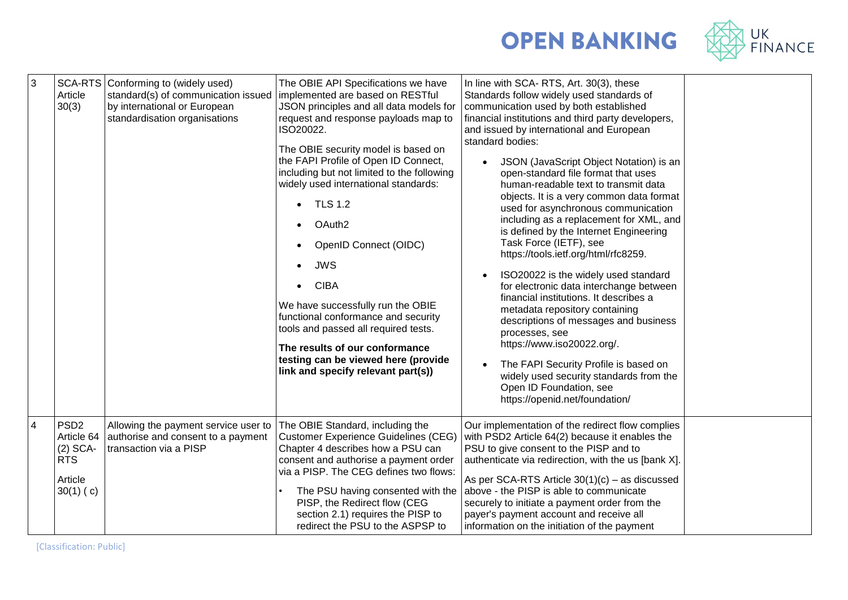

## **OPEN BANKING**

| 3              | Article<br>30(3)                                                                     | SCA-RTS Conforming to (widely used)<br>standard(s) of communication issued<br>by international or European<br>standardisation organisations | The OBIE API Specifications we have<br>implemented are based on RESTful<br>JSON principles and all data models for<br>request and response payloads map to<br>ISO20022.<br>The OBIE security model is based on<br>the FAPI Profile of Open ID Connect,<br>including but not limited to the following<br>widely used international standards:<br><b>TLS 1.2</b><br>OAuth <sub>2</sub><br>$\bullet$<br>OpenID Connect (OIDC)<br><b>JWS</b><br>$\bullet$<br><b>CIBA</b><br>We have successfully run the OBIE<br>functional conformance and security<br>tools and passed all required tests.<br>The results of our conformance<br>testing can be viewed here (provide<br>link and specify relevant part(s)) | In line with SCA-RTS, Art. 30(3), these<br>Standards follow widely used standards of<br>communication used by both established<br>financial institutions and third party developers,<br>and issued by international and European<br>standard bodies:<br>JSON (JavaScript Object Notation) is an<br>open-standard file format that uses<br>human-readable text to transmit data<br>objects. It is a very common data format<br>used for asynchronous communication<br>including as a replacement for XML, and<br>is defined by the Internet Engineering<br>Task Force (IETF), see<br>https://tools.ietf.org/html/rfc8259.<br>ISO20022 is the widely used standard<br>for electronic data interchange between<br>financial institutions. It describes a<br>metadata repository containing<br>descriptions of messages and business<br>processes, see<br>https://www.iso20022.org/.<br>The FAPI Security Profile is based on<br>widely used security standards from the<br>Open ID Foundation, see<br>https://openid.net/foundation/ |  |
|----------------|--------------------------------------------------------------------------------------|---------------------------------------------------------------------------------------------------------------------------------------------|---------------------------------------------------------------------------------------------------------------------------------------------------------------------------------------------------------------------------------------------------------------------------------------------------------------------------------------------------------------------------------------------------------------------------------------------------------------------------------------------------------------------------------------------------------------------------------------------------------------------------------------------------------------------------------------------------------|-----------------------------------------------------------------------------------------------------------------------------------------------------------------------------------------------------------------------------------------------------------------------------------------------------------------------------------------------------------------------------------------------------------------------------------------------------------------------------------------------------------------------------------------------------------------------------------------------------------------------------------------------------------------------------------------------------------------------------------------------------------------------------------------------------------------------------------------------------------------------------------------------------------------------------------------------------------------------------------------------------------------------------------|--|
| $\overline{4}$ | PSD <sub>2</sub><br>Article 64<br>$(2)$ SCA-<br><b>RTS</b><br>Article<br>$30(1)$ (c) | Allowing the payment service user to<br>authorise and consent to a payment<br>transaction via a PISP                                        | The OBIE Standard, including the<br><b>Customer Experience Guidelines (CEG)</b><br>Chapter 4 describes how a PSU can<br>consent and authorise a payment order<br>via a PISP. The CEG defines two flows:<br>The PSU having consented with the<br>PISP, the Redirect flow (CEG<br>section 2.1) requires the PISP to<br>redirect the PSU to the ASPSP to                                                                                                                                                                                                                                                                                                                                                   | Our implementation of the redirect flow complies<br>with PSD2 Article 64(2) because it enables the<br>PSU to give consent to the PISP and to<br>authenticate via redirection, with the us [bank X].<br>As per SCA-RTS Article $30(1)(c)$ – as discussed<br>above - the PISP is able to communicate<br>securely to initiate a payment order from the<br>payer's payment account and receive all<br>information on the initiation of the payment                                                                                                                                                                                                                                                                                                                                                                                                                                                                                                                                                                                    |  |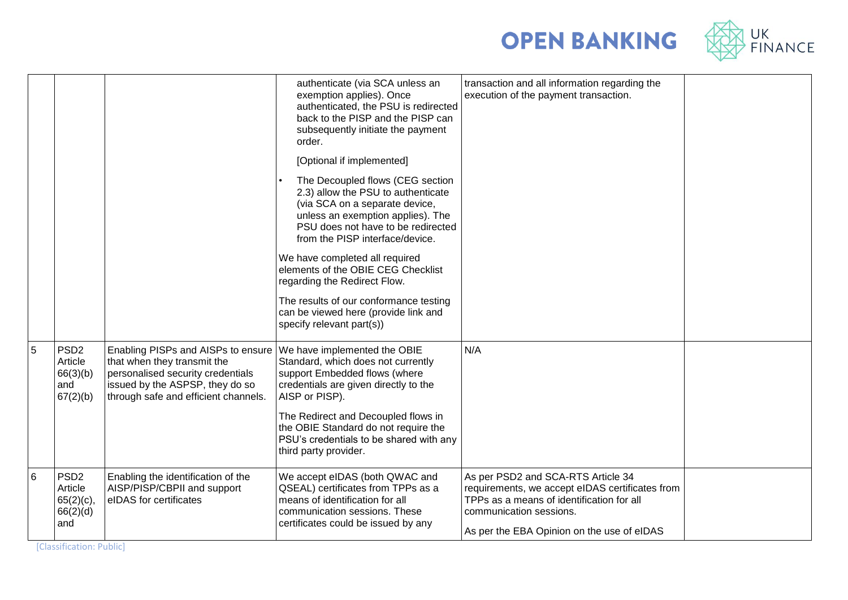



|   |                                                                |                                                                                                                                                                                   | authenticate (via SCA unless an<br>exemption applies). Once<br>authenticated, the PSU is redirected<br>back to the PISP and the PISP can<br>subsequently initiate the payment<br>order.<br>[Optional if implemented]<br>The Decoupled flows (CEG section<br>2.3) allow the PSU to authenticate<br>(via SCA on a separate device,<br>unless an exemption applies). The<br>PSU does not have to be redirected<br>from the PISP interface/device.<br>We have completed all required<br>elements of the OBIE CEG Checklist<br>regarding the Redirect Flow.<br>The results of our conformance testing<br>can be viewed here (provide link and<br>specify relevant part(s)) | transaction and all information regarding the<br>execution of the payment transaction.                                                                                                                      |  |
|---|----------------------------------------------------------------|-----------------------------------------------------------------------------------------------------------------------------------------------------------------------------------|-----------------------------------------------------------------------------------------------------------------------------------------------------------------------------------------------------------------------------------------------------------------------------------------------------------------------------------------------------------------------------------------------------------------------------------------------------------------------------------------------------------------------------------------------------------------------------------------------------------------------------------------------------------------------|-------------------------------------------------------------------------------------------------------------------------------------------------------------------------------------------------------------|--|
| 5 | PSD <sub>2</sub><br>Article<br>66(3)(b)<br>and<br>67(2)(b)     | Enabling PISPs and AISPs to ensure<br>that when they transmit the<br>personalised security credentials<br>issued by the ASPSP, they do so<br>through safe and efficient channels. | We have implemented the OBIE<br>Standard, which does not currently<br>support Embedded flows (where<br>credentials are given directly to the<br>AISP or PISP).<br>The Redirect and Decoupled flows in<br>the OBIE Standard do not require the<br>PSU's credentials to be shared with any<br>third party provider.                                                                                                                                                                                                                                                                                                                                                     | N/A                                                                                                                                                                                                         |  |
| 6 | PSD <sub>2</sub><br>Article<br>$65(2)(c)$ ,<br>66(2)(d)<br>and | Enabling the identification of the<br>AISP/PISP/CBPII and support<br>eIDAS for certificates                                                                                       | We accept eIDAS (both QWAC and<br>QSEAL) certificates from TPPs as a<br>means of identification for all<br>communication sessions. These<br>certificates could be issued by any                                                                                                                                                                                                                                                                                                                                                                                                                                                                                       | As per PSD2 and SCA-RTS Article 34<br>requirements, we accept eIDAS certificates from<br>TPPs as a means of identification for all<br>communication sessions.<br>As per the EBA Opinion on the use of eIDAS |  |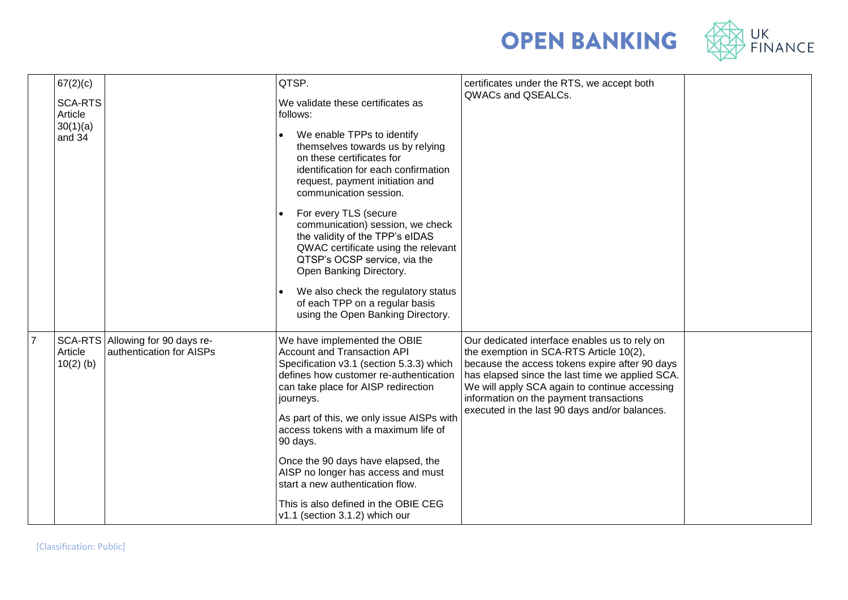



|                | 67(2)(c)                  |                                                              | QTSP.                                                                                                                                                                                                                                                     | certificates under the RTS, we accept both                                                                                                                                                                                                                                                                                                 |  |
|----------------|---------------------------|--------------------------------------------------------------|-----------------------------------------------------------------------------------------------------------------------------------------------------------------------------------------------------------------------------------------------------------|--------------------------------------------------------------------------------------------------------------------------------------------------------------------------------------------------------------------------------------------------------------------------------------------------------------------------------------------|--|
|                | <b>SCA-RTS</b><br>Article |                                                              | We validate these certificates as<br>follows:                                                                                                                                                                                                             | QWACs and QSEALCs.                                                                                                                                                                                                                                                                                                                         |  |
|                | 30(1)(a)<br>and 34        |                                                              | We enable TPPs to identify<br>themselves towards us by relying<br>on these certificates for<br>identification for each confirmation<br>request, payment initiation and<br>communication session.                                                          |                                                                                                                                                                                                                                                                                                                                            |  |
|                |                           |                                                              | For every TLS (secure<br>communication) session, we check<br>the validity of the TPP's eIDAS<br>QWAC certificate using the relevant<br>QTSP's OCSP service, via the<br>Open Banking Directory.                                                            |                                                                                                                                                                                                                                                                                                                                            |  |
|                |                           |                                                              | We also check the regulatory status<br>of each TPP on a regular basis<br>using the Open Banking Directory.                                                                                                                                                |                                                                                                                                                                                                                                                                                                                                            |  |
| $\overline{7}$ | Article<br>$10(2)$ (b)    | SCA-RTS Allowing for 90 days re-<br>authentication for AISPs | We have implemented the OBIE<br><b>Account and Transaction API</b><br>Specification v3.1 (section 5.3.3) which<br>defines how customer re-authentication<br>can take place for AISP redirection<br>journeys.<br>As part of this, we only issue AISPs with | Our dedicated interface enables us to rely on<br>the exemption in SCA-RTS Article 10(2),<br>because the access tokens expire after 90 days<br>has elapsed since the last time we applied SCA.<br>We will apply SCA again to continue accessing<br>information on the payment transactions<br>executed in the last 90 days and/or balances. |  |
|                |                           |                                                              | access tokens with a maximum life of<br>90 days.                                                                                                                                                                                                          |                                                                                                                                                                                                                                                                                                                                            |  |
|                |                           |                                                              | Once the 90 days have elapsed, the<br>AISP no longer has access and must<br>start a new authentication flow.                                                                                                                                              |                                                                                                                                                                                                                                                                                                                                            |  |
|                |                           |                                                              | This is also defined in the OBIE CEG<br>v1.1 (section 3.1.2) which our                                                                                                                                                                                    |                                                                                                                                                                                                                                                                                                                                            |  |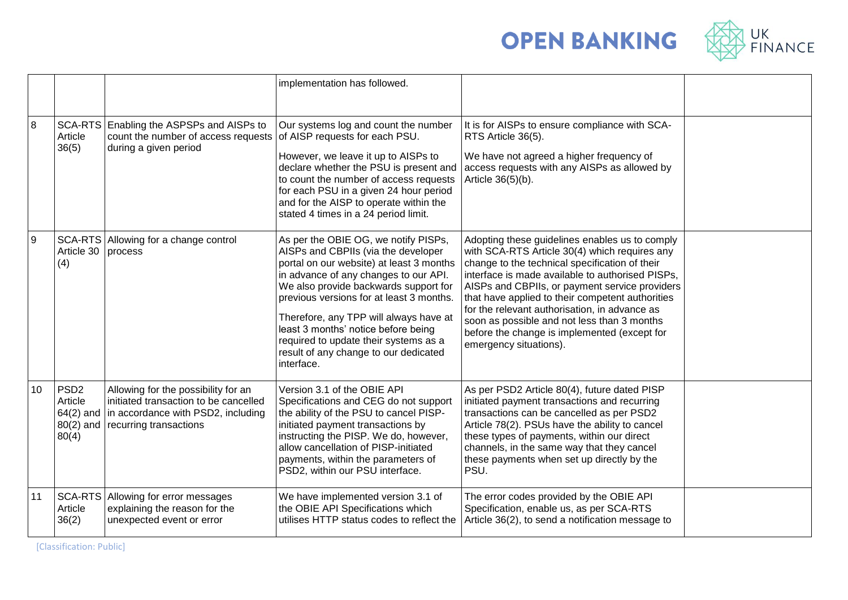



|    |                                      |                                                                                                                                                                    | implementation has followed.                                                                                                                                                                                                                                                                                                                                                                                                           |                                                                                                                                                                                                                                                                                                                                                                                                                                                                                       |  |
|----|--------------------------------------|--------------------------------------------------------------------------------------------------------------------------------------------------------------------|----------------------------------------------------------------------------------------------------------------------------------------------------------------------------------------------------------------------------------------------------------------------------------------------------------------------------------------------------------------------------------------------------------------------------------------|---------------------------------------------------------------------------------------------------------------------------------------------------------------------------------------------------------------------------------------------------------------------------------------------------------------------------------------------------------------------------------------------------------------------------------------------------------------------------------------|--|
| 8  | Article<br>36(5)                     | SCA-RTS Enabling the ASPSPs and AISPs to<br>count the number of access requests of AISP requests for each PSU.<br>during a given period                            | Our systems log and count the number<br>However, we leave it up to AISPs to<br>declare whether the PSU is present and<br>to count the number of access requests<br>for each PSU in a given 24 hour period<br>and for the AISP to operate within the<br>stated 4 times in a 24 period limit.                                                                                                                                            | It is for AISPs to ensure compliance with SCA-<br>RTS Article 36(5).<br>We have not agreed a higher frequency of<br>access requests with any AISPs as allowed by<br>Article 36(5)(b).                                                                                                                                                                                                                                                                                                 |  |
| 9  | Article 30 process<br>(4)            | SCA-RTS Allowing for a change control                                                                                                                              | As per the OBIE OG, we notify PISPs,<br>AISPs and CBPIIs (via the developer<br>portal on our website) at least 3 months<br>in advance of any changes to our API.<br>We also provide backwards support for<br>previous versions for at least 3 months.<br>Therefore, any TPP will always have at<br>least 3 months' notice before being<br>required to update their systems as a<br>result of any change to our dedicated<br>interface. | Adopting these guidelines enables us to comply<br>with SCA-RTS Article 30(4) which requires any<br>change to the technical specification of their<br>interface is made available to authorised PISPs,<br>AISPs and CBPIIs, or payment service providers<br>that have applied to their competent authorities<br>for the relevant authorisation, in advance as<br>soon as possible and not less than 3 months<br>before the change is implemented (except for<br>emergency situations). |  |
| 10 | PSD <sub>2</sub><br>Article<br>80(4) | Allowing for the possibility for an<br>initiated transaction to be cancelled<br>64(2) and in accordance with PSD2, including<br>$80(2)$ and recurring transactions | Version 3.1 of the OBIE API<br>Specifications and CEG do not support<br>the ability of the PSU to cancel PISP-<br>initiated payment transactions by<br>instructing the PISP. We do, however,<br>allow cancellation of PISP-initiated<br>payments, within the parameters of<br>PSD2, within our PSU interface.                                                                                                                          | As per PSD2 Article 80(4), future dated PISP<br>initiated payment transactions and recurring<br>transactions can be cancelled as per PSD2<br>Article 78(2). PSUs have the ability to cancel<br>these types of payments, within our direct<br>channels, in the same way that they cancel<br>these payments when set up directly by the<br>PSU.                                                                                                                                         |  |
| 11 | Article<br>36(2)                     | SCA-RTS Allowing for error messages<br>explaining the reason for the<br>unexpected event or error                                                                  | We have implemented version 3.1 of<br>the OBIE API Specifications which<br>utilises HTTP status codes to reflect the                                                                                                                                                                                                                                                                                                                   | The error codes provided by the OBIE API<br>Specification, enable us, as per SCA-RTS<br>Article 36(2), to send a notification message to                                                                                                                                                                                                                                                                                                                                              |  |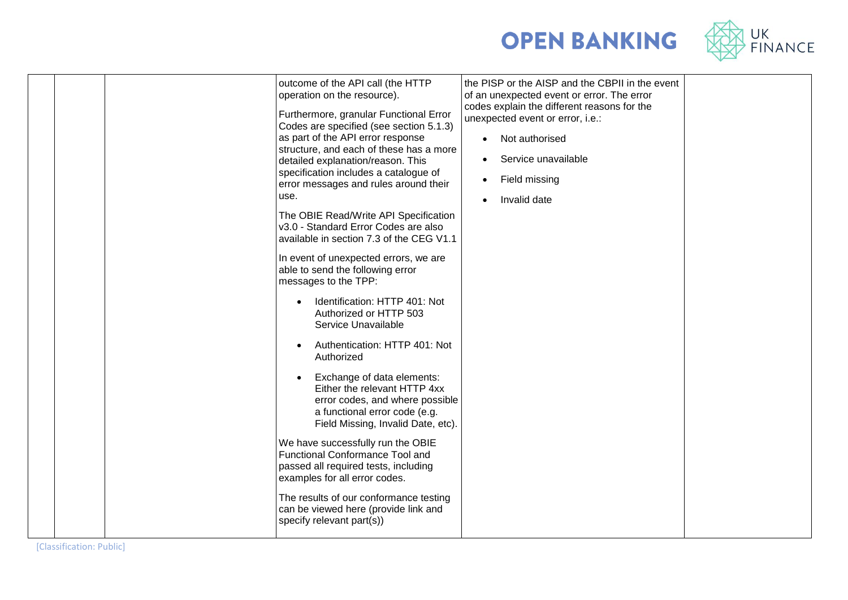

|  | outcome of the API call (the HTTP<br>operation on the resource).<br>Furthermore, granular Functional Error<br>Codes are specified (see section 5.1.3)<br>as part of the API error response<br>structure, and each of these has a more<br>detailed explanation/reason. This<br>specification includes a catalogue of<br>error messages and rules around their<br>use.<br>The OBIE Read/Write API Specification<br>v3.0 - Standard Error Codes are also<br>available in section 7.3 of the CEG V1.1<br>In event of unexpected errors, we are<br>able to send the following error<br>messages to the TPP:<br>Identification: HTTP 401: Not<br>Authorized or HTTP 503<br>Service Unavailable<br>Authentication: HTTP 401: Not<br>Authorized<br>Exchange of data elements:<br>Either the relevant HTTP 4xx<br>error codes, and where possible<br>a functional error code (e.g.<br>Field Missing, Invalid Date, etc).<br>We have successfully run the OBIE<br>Functional Conformance Tool and<br>passed all required tests, including<br>examples for all error codes.<br>The results of our conformance testing<br>can be viewed here (provide link and<br>specify relevant part(s)) | the PISP or the AISP and the CBPII in the event<br>of an unexpected event or error. The error<br>codes explain the different reasons for the<br>unexpected event or error, i.e.:<br>Not authorised<br>$\bullet$<br>Service unavailable<br>Field missing<br>$\bullet$<br>Invalid date |  |
|--|---------------------------------------------------------------------------------------------------------------------------------------------------------------------------------------------------------------------------------------------------------------------------------------------------------------------------------------------------------------------------------------------------------------------------------------------------------------------------------------------------------------------------------------------------------------------------------------------------------------------------------------------------------------------------------------------------------------------------------------------------------------------------------------------------------------------------------------------------------------------------------------------------------------------------------------------------------------------------------------------------------------------------------------------------------------------------------------------------------------------------------------------------------------------------------|--------------------------------------------------------------------------------------------------------------------------------------------------------------------------------------------------------------------------------------------------------------------------------------|--|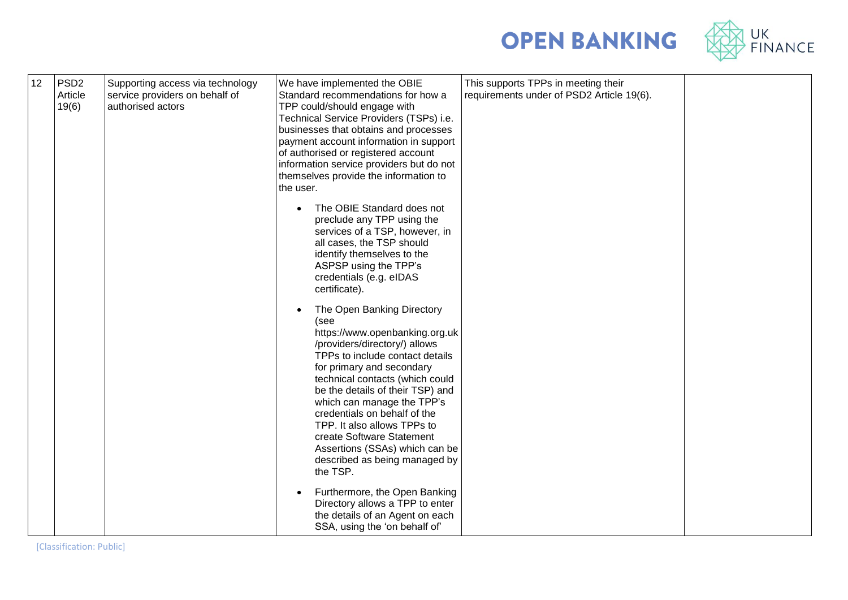



| 12 | PSD <sub>2</sub><br>Article<br>19(6) | Supporting access via technology<br>service providers on behalf of<br>authorised actors | We have implemented the OBIE<br>Standard recommendations for how a<br>TPP could/should engage with<br>Technical Service Providers (TSPs) i.e.<br>businesses that obtains and processes<br>payment account information in support<br>of authorised or registered account<br>information service providers but do not<br>themselves provide the information to<br>the user.<br>The OBIE Standard does not<br>preclude any TPP using the<br>services of a TSP, however, in<br>all cases, the TSP should<br>identify themselves to the<br>ASPSP using the TPP's<br>credentials (e.g. eIDAS<br>certificate).<br>The Open Banking Directory<br>(see<br>https://www.openbanking.org.uk<br>/providers/directory/) allows<br>TPPs to include contact details<br>for primary and secondary<br>technical contacts (which could<br>be the details of their TSP) and<br>which can manage the TPP's<br>credentials on behalf of the<br>TPP. It also allows TPPs to<br>create Software Statement | This supports TPPs in meeting their<br>requirements under of PSD2 Article 19(6). |  |
|----|--------------------------------------|-----------------------------------------------------------------------------------------|-----------------------------------------------------------------------------------------------------------------------------------------------------------------------------------------------------------------------------------------------------------------------------------------------------------------------------------------------------------------------------------------------------------------------------------------------------------------------------------------------------------------------------------------------------------------------------------------------------------------------------------------------------------------------------------------------------------------------------------------------------------------------------------------------------------------------------------------------------------------------------------------------------------------------------------------------------------------------------------|----------------------------------------------------------------------------------|--|
|    |                                      |                                                                                         | Assertions (SSAs) which can be<br>described as being managed by<br>the TSP.                                                                                                                                                                                                                                                                                                                                                                                                                                                                                                                                                                                                                                                                                                                                                                                                                                                                                                       |                                                                                  |  |
|    |                                      |                                                                                         | Furthermore, the Open Banking<br>Directory allows a TPP to enter<br>the details of an Agent on each<br>SSA, using the 'on behalf of'                                                                                                                                                                                                                                                                                                                                                                                                                                                                                                                                                                                                                                                                                                                                                                                                                                              |                                                                                  |  |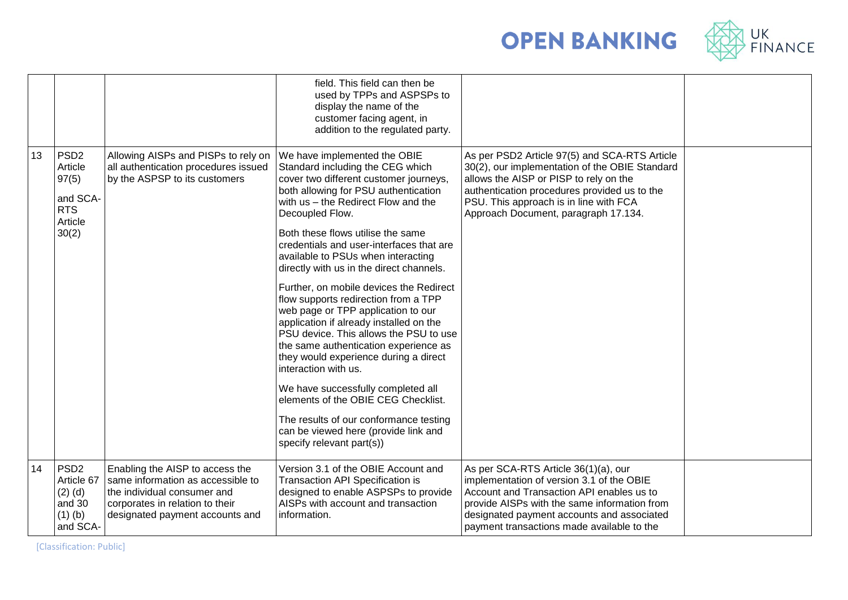



|    |                                                                                    |                                                                                                                                                                           | field. This field can then be<br>used by TPPs and ASPSPs to<br>display the name of the<br>customer facing agent, in<br>addition to the regulated party.                                                                                                                                                                                                                                                                                                                                                                                                                                                                                                                                                                                                                                                                                                                                             |                                                                                                                                                                                                                                                                             |  |
|----|------------------------------------------------------------------------------------|---------------------------------------------------------------------------------------------------------------------------------------------------------------------------|-----------------------------------------------------------------------------------------------------------------------------------------------------------------------------------------------------------------------------------------------------------------------------------------------------------------------------------------------------------------------------------------------------------------------------------------------------------------------------------------------------------------------------------------------------------------------------------------------------------------------------------------------------------------------------------------------------------------------------------------------------------------------------------------------------------------------------------------------------------------------------------------------------|-----------------------------------------------------------------------------------------------------------------------------------------------------------------------------------------------------------------------------------------------------------------------------|--|
| 13 | PSD <sub>2</sub><br>Article<br>97(5)<br>and SCA-<br><b>RTS</b><br>Article<br>30(2) | Allowing AISPs and PISPs to rely on<br>all authentication procedures issued<br>by the ASPSP to its customers                                                              | We have implemented the OBIE<br>Standard including the CEG which<br>cover two different customer journeys,<br>both allowing for PSU authentication<br>with us - the Redirect Flow and the<br>Decoupled Flow.<br>Both these flows utilise the same<br>credentials and user-interfaces that are<br>available to PSUs when interacting<br>directly with us in the direct channels.<br>Further, on mobile devices the Redirect<br>flow supports redirection from a TPP<br>web page or TPP application to our<br>application if already installed on the<br>PSU device. This allows the PSU to use<br>the same authentication experience as<br>they would experience during a direct<br>interaction with us.<br>We have successfully completed all<br>elements of the OBIE CEG Checklist.<br>The results of our conformance testing<br>can be viewed here (provide link and<br>specify relevant part(s)) | As per PSD2 Article 97(5) and SCA-RTS Article<br>30(2), our implementation of the OBIE Standard<br>allows the AISP or PISP to rely on the<br>authentication procedures provided us to the<br>PSU. This approach is in line with FCA<br>Approach Document, paragraph 17.134. |  |
| 14 | PSD <sub>2</sub><br>Article 67<br>$(2)$ $(d)$<br>and 30<br>$(1)$ $(b)$<br>and SCA- | Enabling the AISP to access the<br>same information as accessible to<br>the individual consumer and<br>corporates in relation to their<br>designated payment accounts and | Version 3.1 of the OBIE Account and<br>Transaction API Specification is<br>designed to enable ASPSPs to provide<br>AISPs with account and transaction<br>information.                                                                                                                                                                                                                                                                                                                                                                                                                                                                                                                                                                                                                                                                                                                               | As per SCA-RTS Article 36(1)(a), our<br>implementation of version 3.1 of the OBIE<br>Account and Transaction API enables us to<br>provide AISPs with the same information from<br>designated payment accounts and associated<br>payment transactions made available to the  |  |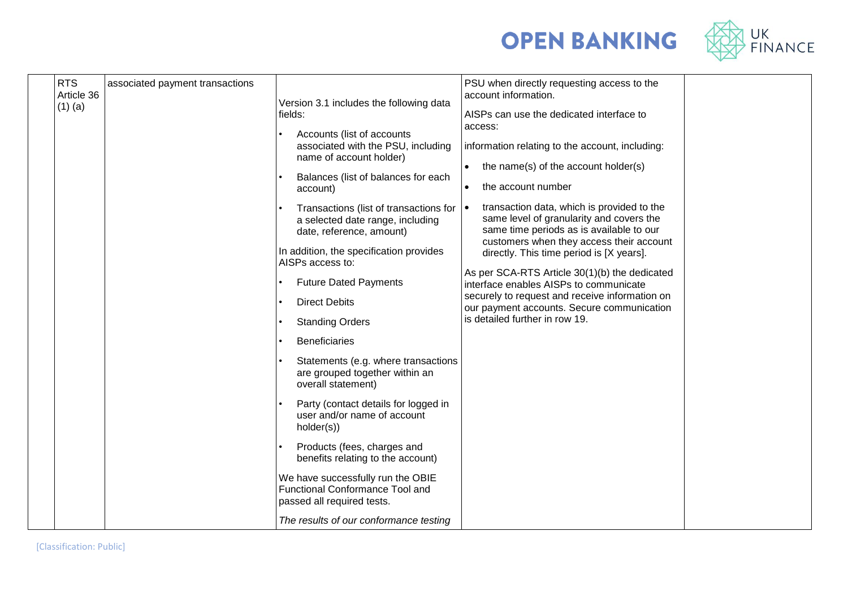

| <b>OPEN BANKING</b> |  |
|---------------------|--|
|---------------------|--|

| <b>RTS</b><br>Article 36<br>$(1)$ (a) | associated payment transactions | Version 3.1 includes the following data<br>fields:<br>Accounts (list of accounts<br>associated with the PSU, including<br>name of account holder)<br>Balances (list of balances for each<br>account)                                                                                                                                                                                                                                                                                                                                                                                                                                                                                    | PSU when directly requesting access to the<br>account information.<br>AISPs can use the dedicated interface to<br>access:<br>information relating to the account, including:<br>the name(s) of the account holder(s)<br>$\bullet$<br>the account number                                                                                                                                                                                                              |  |
|---------------------------------------|---------------------------------|-----------------------------------------------------------------------------------------------------------------------------------------------------------------------------------------------------------------------------------------------------------------------------------------------------------------------------------------------------------------------------------------------------------------------------------------------------------------------------------------------------------------------------------------------------------------------------------------------------------------------------------------------------------------------------------------|----------------------------------------------------------------------------------------------------------------------------------------------------------------------------------------------------------------------------------------------------------------------------------------------------------------------------------------------------------------------------------------------------------------------------------------------------------------------|--|
|                                       |                                 | Transactions (list of transactions for<br>a selected date range, including<br>date, reference, amount)<br>In addition, the specification provides<br>AISPs access to:<br><b>Future Dated Payments</b><br><b>Direct Debits</b><br><b>Standing Orders</b><br><b>Beneficiaries</b><br>Statements (e.g. where transactions<br>are grouped together within an<br>overall statement)<br>Party (contact details for logged in<br>user and/or name of account<br>holder(s))<br>Products (fees, charges and<br>benefits relating to the account)<br>We have successfully run the OBIE<br>Functional Conformance Tool and<br>passed all required tests.<br>The results of our conformance testing | transaction data, which is provided to the<br>$\bullet$<br>same level of granularity and covers the<br>same time periods as is available to our<br>customers when they access their account<br>directly. This time period is [X years].<br>As per SCA-RTS Article 30(1)(b) the dedicated<br>interface enables AISPs to communicate<br>securely to request and receive information on<br>our payment accounts. Secure communication<br>is detailed further in row 19. |  |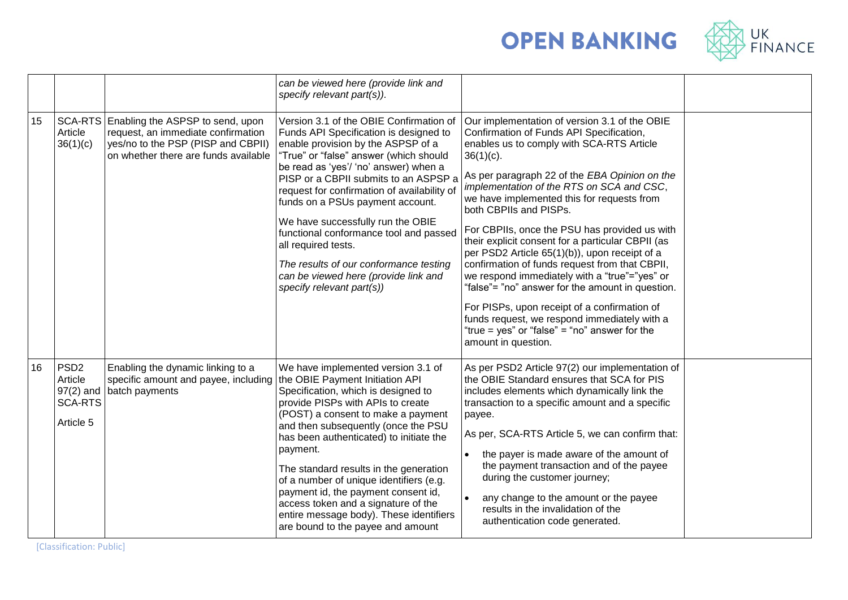



|    |                                                                           |                                                                                                                                                              | can be viewed here (provide link and<br>specify relevant part(s)).                                                                                                                                                                                                                                                                                                                                                                                                                                                                                          |                                                                                                                                                                                                                                                                                                                                                                                                                                                                                                                                                                                                                                                                                                                                                                                                                    |  |
|----|---------------------------------------------------------------------------|--------------------------------------------------------------------------------------------------------------------------------------------------------------|-------------------------------------------------------------------------------------------------------------------------------------------------------------------------------------------------------------------------------------------------------------------------------------------------------------------------------------------------------------------------------------------------------------------------------------------------------------------------------------------------------------------------------------------------------------|--------------------------------------------------------------------------------------------------------------------------------------------------------------------------------------------------------------------------------------------------------------------------------------------------------------------------------------------------------------------------------------------------------------------------------------------------------------------------------------------------------------------------------------------------------------------------------------------------------------------------------------------------------------------------------------------------------------------------------------------------------------------------------------------------------------------|--|
| 15 | Article<br>36(1)(c)                                                       | SCA-RTS Enabling the ASPSP to send, upon<br>request, an immediate confirmation<br>yes/no to the PSP (PISP and CBPII)<br>on whether there are funds available | Version 3.1 of the OBIE Confirmation of<br>Funds API Specification is designed to<br>enable provision by the ASPSP of a<br>"True" or "false" answer (which should<br>be read as 'yes'/ 'no' answer) when a<br>PISP or a CBPII submits to an ASPSP a<br>request for confirmation of availability of<br>funds on a PSUs payment account.<br>We have successfully run the OBIE<br>functional conformance tool and passed<br>all required tests.<br>The results of our conformance testing<br>can be viewed here (provide link and<br>specify relevant part(s)) | Our implementation of version 3.1 of the OBIE<br>Confirmation of Funds API Specification,<br>enables us to comply with SCA-RTS Article<br>$36(1)(c)$ .<br>As per paragraph 22 of the EBA Opinion on the<br>implementation of the RTS on SCA and CSC,<br>we have implemented this for requests from<br>both CBPIIs and PISPs.<br>For CBPIIs, once the PSU has provided us with<br>their explicit consent for a particular CBPII (as<br>per PSD2 Article 65(1)(b)), upon receipt of a<br>confirmation of funds request from that CBPII,<br>we respond immediately with a "true"="yes" or<br>"false"= "no" answer for the amount in question.<br>For PISPs, upon receipt of a confirmation of<br>funds request, we respond immediately with a<br>"true = yes" or "false" = "no" answer for the<br>amount in question. |  |
| 16 | PSD <sub>2</sub><br>Article<br>$97(2)$ and<br><b>SCA-RTS</b><br>Article 5 | Enabling the dynamic linking to a<br>specific amount and payee, including<br>batch payments                                                                  | We have implemented version 3.1 of<br>the OBIE Payment Initiation API<br>Specification, which is designed to<br>provide PISPs with APIs to create<br>(POST) a consent to make a payment<br>and then subsequently (once the PSU<br>has been authenticated) to initiate the<br>payment.<br>The standard results in the generation<br>of a number of unique identifiers (e.g.<br>payment id, the payment consent id,<br>access token and a signature of the<br>entire message body). These identifiers<br>are bound to the payee and amount                    | As per PSD2 Article 97(2) our implementation of<br>the OBIE Standard ensures that SCA for PIS<br>includes elements which dynamically link the<br>transaction to a specific amount and a specific<br>payee.<br>As per, SCA-RTS Article 5, we can confirm that:<br>the payer is made aware of the amount of<br>the payment transaction and of the payee<br>during the customer journey;<br>any change to the amount or the payee<br>results in the invalidation of the<br>authentication code generated.                                                                                                                                                                                                                                                                                                             |  |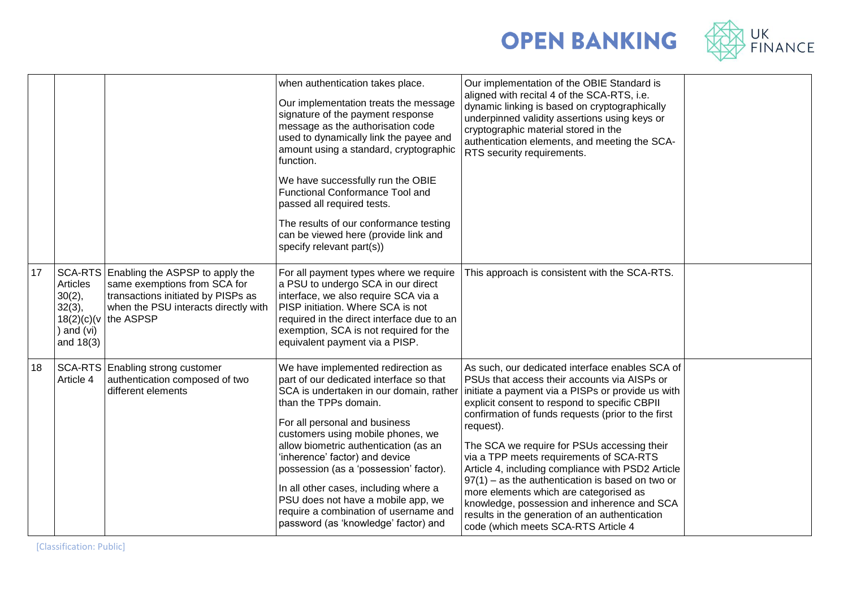



|    |                                                                             |                                                                                                                                                                    | when authentication takes place.<br>Our implementation treats the message<br>signature of the payment response<br>message as the authorisation code<br>used to dynamically link the payee and<br>amount using a standard, cryptographic<br>function.<br>We have successfully run the OBIE<br><b>Functional Conformance Tool and</b><br>passed all required tests.<br>The results of our conformance testing<br>can be viewed here (provide link and<br>specify relevant part(s))                             | Our implementation of the OBIE Standard is<br>aligned with recital 4 of the SCA-RTS, i.e.<br>dynamic linking is based on cryptographically<br>underpinned validity assertions using keys or<br>cryptographic material stored in the<br>authentication elements, and meeting the SCA-<br>RTS security requirements.                                                                                                                                                                                                                                                                                                                                              |  |
|----|-----------------------------------------------------------------------------|--------------------------------------------------------------------------------------------------------------------------------------------------------------------|--------------------------------------------------------------------------------------------------------------------------------------------------------------------------------------------------------------------------------------------------------------------------------------------------------------------------------------------------------------------------------------------------------------------------------------------------------------------------------------------------------------|-----------------------------------------------------------------------------------------------------------------------------------------------------------------------------------------------------------------------------------------------------------------------------------------------------------------------------------------------------------------------------------------------------------------------------------------------------------------------------------------------------------------------------------------------------------------------------------------------------------------------------------------------------------------|--|
| 17 | Articles<br>$30(2)$ ,<br>32(3),<br>18(2)(c)(v)<br>) and $(vi)$<br>and 18(3) | SCA-RTS Enabling the ASPSP to apply the<br>same exemptions from SCA for<br>transactions initiated by PISPs as<br>when the PSU interacts directly with<br>the ASPSP | For all payment types where we require<br>a PSU to undergo SCA in our direct<br>interface, we also require SCA via a<br>PISP initiation. Where SCA is not<br>required in the direct interface due to an<br>exemption, SCA is not required for the<br>equivalent payment via a PISP.                                                                                                                                                                                                                          | This approach is consistent with the SCA-RTS.                                                                                                                                                                                                                                                                                                                                                                                                                                                                                                                                                                                                                   |  |
| 18 | Article 4                                                                   | SCA-RTS Enabling strong customer<br>authentication composed of two<br>different elements                                                                           | We have implemented redirection as<br>part of our dedicated interface so that<br>SCA is undertaken in our domain, rather<br>than the TPPs domain.<br>For all personal and business<br>customers using mobile phones, we<br>allow biometric authentication (as an<br>'inherence' factor) and device<br>possession (as a 'possession' factor).<br>In all other cases, including where a<br>PSU does not have a mobile app, we<br>require a combination of username and<br>password (as 'knowledge' factor) and | As such, our dedicated interface enables SCA of<br>PSUs that access their accounts via AISPs or<br>initiate a payment via a PISPs or provide us with<br>explicit consent to respond to specific CBPII<br>confirmation of funds requests (prior to the first<br>request).<br>The SCA we require for PSUs accessing their<br>via a TPP meets requirements of SCA-RTS<br>Article 4, including compliance with PSD2 Article<br>$97(1)$ – as the authentication is based on two or<br>more elements which are categorised as<br>knowledge, possession and inherence and SCA<br>results in the generation of an authentication<br>code (which meets SCA-RTS Article 4 |  |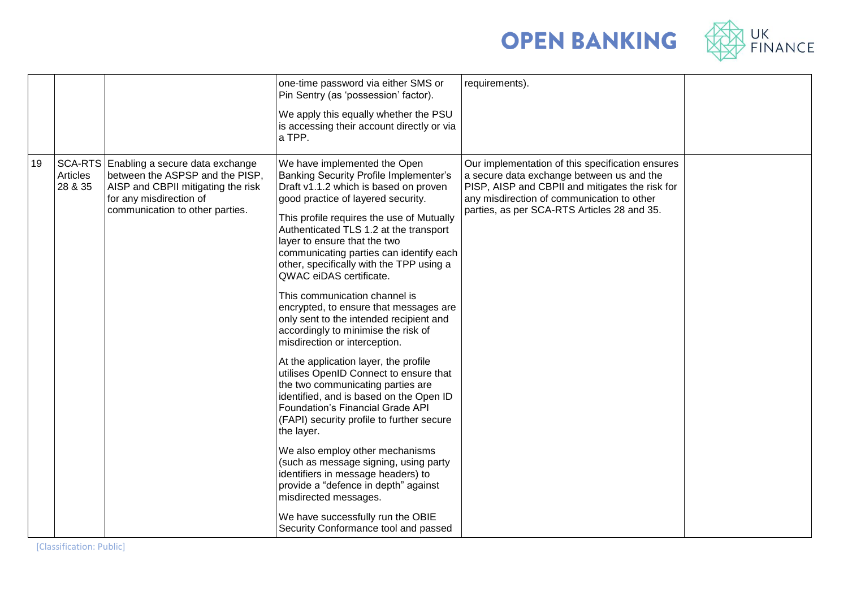



|    |                     |                                                                                                                                                                                | one-time password via either SMS or<br>Pin Sentry (as 'possession' factor).                                                                                                                                                                                                                                                                                                                                                                                                                                                                                                                                                                                                                                                                                                                                                                                                                                                                                                                                                                                                                                                           | requirements).                                                                                                                                                                                                                                |  |
|----|---------------------|--------------------------------------------------------------------------------------------------------------------------------------------------------------------------------|---------------------------------------------------------------------------------------------------------------------------------------------------------------------------------------------------------------------------------------------------------------------------------------------------------------------------------------------------------------------------------------------------------------------------------------------------------------------------------------------------------------------------------------------------------------------------------------------------------------------------------------------------------------------------------------------------------------------------------------------------------------------------------------------------------------------------------------------------------------------------------------------------------------------------------------------------------------------------------------------------------------------------------------------------------------------------------------------------------------------------------------|-----------------------------------------------------------------------------------------------------------------------------------------------------------------------------------------------------------------------------------------------|--|
|    |                     |                                                                                                                                                                                | We apply this equally whether the PSU<br>is accessing their account directly or via<br>a TPP.                                                                                                                                                                                                                                                                                                                                                                                                                                                                                                                                                                                                                                                                                                                                                                                                                                                                                                                                                                                                                                         |                                                                                                                                                                                                                                               |  |
| 19 | Articles<br>28 & 35 | SCA-RTS Enabling a secure data exchange<br>between the ASPSP and the PISP,<br>AISP and CBPII mitigating the risk<br>for any misdirection of<br>communication to other parties. | We have implemented the Open<br><b>Banking Security Profile Implementer's</b><br>Draft v1.1.2 which is based on proven<br>good practice of layered security.<br>This profile requires the use of Mutually<br>Authenticated TLS 1.2 at the transport<br>layer to ensure that the two<br>communicating parties can identify each<br>other, specifically with the TPP using a<br>QWAC eiDAS certificate.<br>This communication channel is<br>encrypted, to ensure that messages are<br>only sent to the intended recipient and<br>accordingly to minimise the risk of<br>misdirection or interception.<br>At the application layer, the profile<br>utilises OpenID Connect to ensure that<br>the two communicating parties are<br>identified, and is based on the Open ID<br>Foundation's Financial Grade API<br>(FAPI) security profile to further secure<br>the layer.<br>We also employ other mechanisms<br>(such as message signing, using party<br>identifiers in message headers) to<br>provide a "defence in depth" against<br>misdirected messages.<br>We have successfully run the OBIE<br>Security Conformance tool and passed | Our implementation of this specification ensures<br>a secure data exchange between us and the<br>PISP, AISP and CBPII and mitigates the risk for<br>any misdirection of communication to other<br>parties, as per SCA-RTS Articles 28 and 35. |  |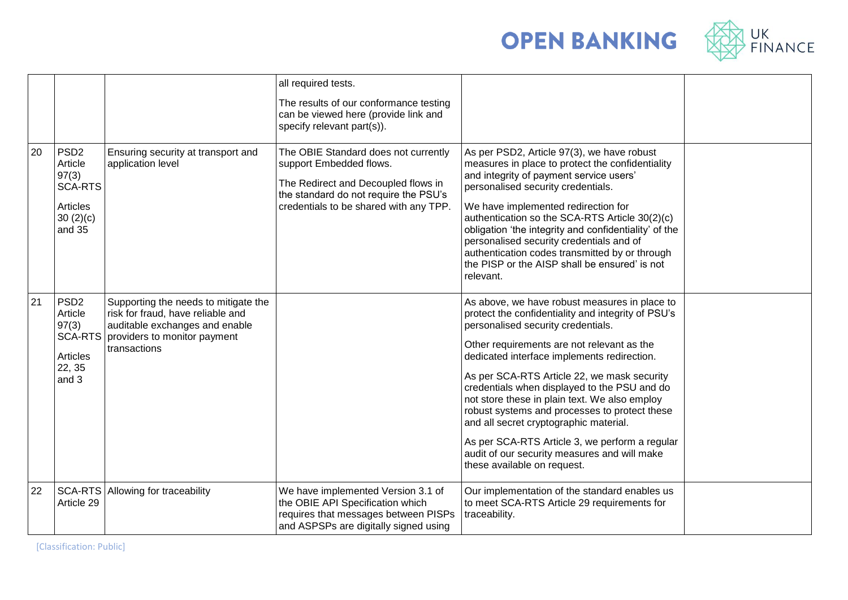



|    |                                                                                          |                                                                                                                                                             | all required tests.<br>The results of our conformance testing<br>can be viewed here (provide link and<br>specify relevant part(s)).                                                       |                                                                                                                                                                                                                                                                                                                                                                                                                                                                                                                                                                                                                    |  |
|----|------------------------------------------------------------------------------------------|-------------------------------------------------------------------------------------------------------------------------------------------------------------|-------------------------------------------------------------------------------------------------------------------------------------------------------------------------------------------|--------------------------------------------------------------------------------------------------------------------------------------------------------------------------------------------------------------------------------------------------------------------------------------------------------------------------------------------------------------------------------------------------------------------------------------------------------------------------------------------------------------------------------------------------------------------------------------------------------------------|--|
| 20 | PSD <sub>2</sub><br>Article<br>97(3)<br><b>SCA-RTS</b><br>Articles<br>30(2)(c)<br>and 35 | Ensuring security at transport and<br>application level                                                                                                     | The OBIE Standard does not currently<br>support Embedded flows.<br>The Redirect and Decoupled flows in<br>the standard do not require the PSU's<br>credentials to be shared with any TPP. | As per PSD2, Article 97(3), we have robust<br>measures in place to protect the confidentiality<br>and integrity of payment service users'<br>personalised security credentials.<br>We have implemented redirection for<br>authentication so the SCA-RTS Article 30(2)(c)<br>obligation 'the integrity and confidentiality' of the<br>personalised security credentials and of<br>authentication codes transmitted by or through<br>the PISP or the AISP shall be ensured' is not<br>relevant.                                                                                                                      |  |
| 21 | PSD <sub>2</sub><br>Article<br>97(3)<br><b>SCA-RTS</b><br>Articles<br>22, 35<br>and 3    | Supporting the needs to mitigate the<br>risk for fraud, have reliable and<br>auditable exchanges and enable<br>providers to monitor payment<br>transactions |                                                                                                                                                                                           | As above, we have robust measures in place to<br>protect the confidentiality and integrity of PSU's<br>personalised security credentials.<br>Other requirements are not relevant as the<br>dedicated interface implements redirection.<br>As per SCA-RTS Article 22, we mask security<br>credentials when displayed to the PSU and do<br>not store these in plain text. We also employ<br>robust systems and processes to protect these<br>and all secret cryptographic material.<br>As per SCA-RTS Article 3, we perform a regular<br>audit of our security measures and will make<br>these available on request. |  |
| 22 | Article 29                                                                               | SCA-RTS Allowing for traceability                                                                                                                           | We have implemented Version 3.1 of<br>the OBIE API Specification which<br>requires that messages between PISPs<br>and ASPSPs are digitally signed using                                   | Our implementation of the standard enables us<br>to meet SCA-RTS Article 29 requirements for<br>traceability.                                                                                                                                                                                                                                                                                                                                                                                                                                                                                                      |  |